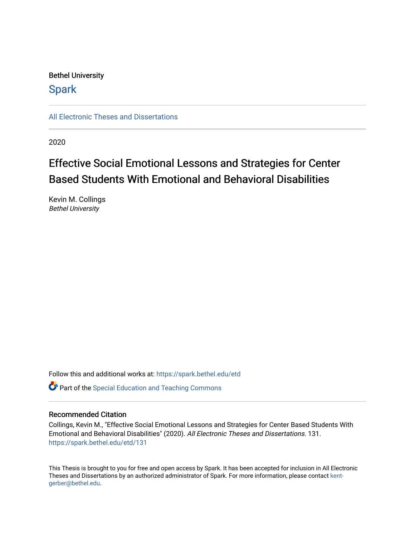# Bethel University

# **Spark**

[All Electronic Theses and Dissertations](https://spark.bethel.edu/etd) 

2020

# Effective Social Emotional Lessons and Strategies for Center Based Students With Emotional and Behavioral Disabilities

Kevin M. Collings Bethel University

Follow this and additional works at: [https://spark.bethel.edu/etd](https://spark.bethel.edu/etd?utm_source=spark.bethel.edu%2Fetd%2F131&utm_medium=PDF&utm_campaign=PDFCoverPages)

**C** Part of the Special Education and Teaching Commons

# Recommended Citation

Collings, Kevin M., "Effective Social Emotional Lessons and Strategies for Center Based Students With Emotional and Behavioral Disabilities" (2020). All Electronic Theses and Dissertations. 131. [https://spark.bethel.edu/etd/131](https://spark.bethel.edu/etd/131?utm_source=spark.bethel.edu%2Fetd%2F131&utm_medium=PDF&utm_campaign=PDFCoverPages)

This Thesis is brought to you for free and open access by Spark. It has been accepted for inclusion in All Electronic Theses and Dissertations by an authorized administrator of Spark. For more information, please contact [kent](mailto:kent-gerber@bethel.edu)[gerber@bethel.edu.](mailto:kent-gerber@bethel.edu)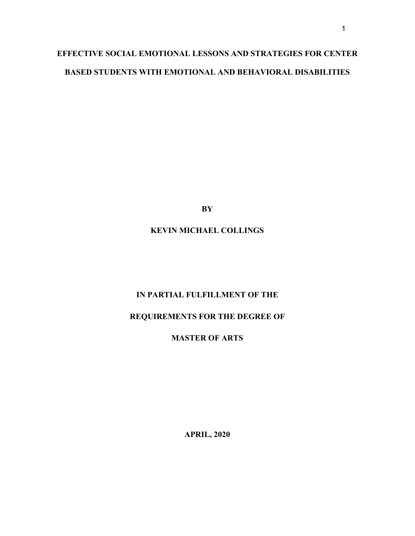# **EFFECTIVE SOCIAL EMOTIONAL LESSONS AND STRATEGIES FOR CENTER BASED STUDENTS WITH EMOTIONAL AND BEHAVIORAL DISABILITIES**

**BY**

# **KEVIN MICHAEL COLLINGS**

# **IN PARTIAL FULFILLMENT OF THE**

# **REQUIREMENTS FOR THE DEGREE OF**

# **MASTER OF ARTS**

**APRIL, 2020**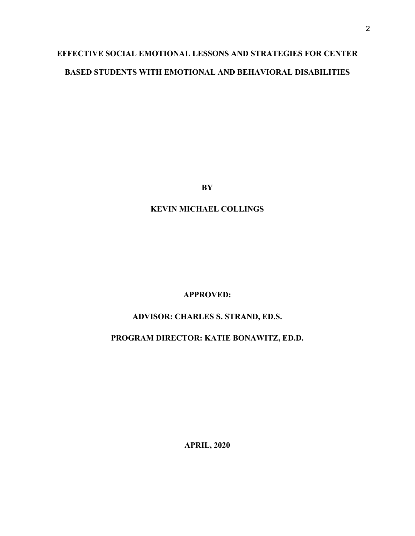# **EFFECTIVE SOCIAL EMOTIONAL LESSONS AND STRATEGIES FOR CENTER BASED STUDENTS WITH EMOTIONAL AND BEHAVIORAL DISABILITIES**

**BY**

# **KEVIN MICHAEL COLLINGS**

# **APPROVED:**

# **ADVISOR: CHARLES S. STRAND, ED.S.**

# **PROGRAM DIRECTOR: KATIE BONAWITZ, ED.D.**

**APRIL, 2020**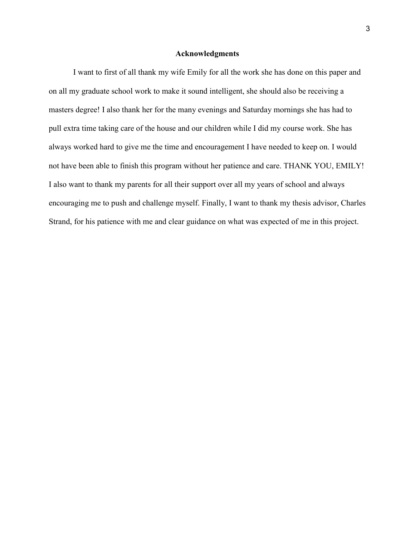# **Acknowledgments**

I want to first of all thank my wife Emily for all the work she has done on this paper and on all my graduate school work to make it sound intelligent, she should also be receiving a masters degree! I also thank her for the many evenings and Saturday mornings she has had to pull extra time taking care of the house and our children while I did my course work. She has always worked hard to give me the time and encouragement I have needed to keep on. I would not have been able to finish this program without her patience and care. THANK YOU, EMILY! I also want to thank my parents for all their support over all my years of school and always encouraging me to push and challenge myself. Finally, I want to thank my thesis advisor, Charles Strand, for his patience with me and clear guidance on what was expected of me in this project.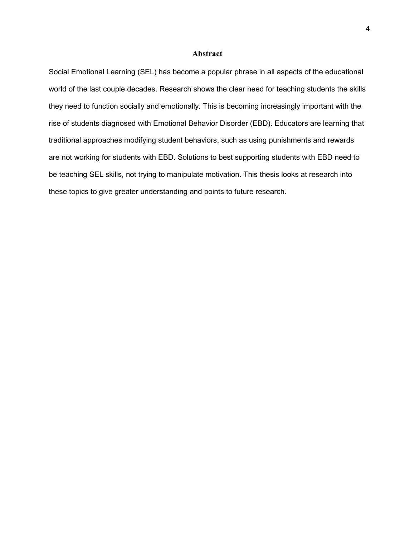### **Abstract**

Social Emotional Learning (SEL) has become a popular phrase in all aspects of the educational world of the last couple decades. Research shows the clear need for teaching students the skills they need to function socially and emotionally. This is becoming increasingly important with the rise of students diagnosed with Emotional Behavior Disorder (EBD). Educators are learning that traditional approaches modifying student behaviors, such as using punishments and rewards are not working for students with EBD. Solutions to best supporting students with EBD need to be teaching SEL skills, not trying to manipulate motivation. This thesis looks at research into these topics to give greater understanding and points to future research.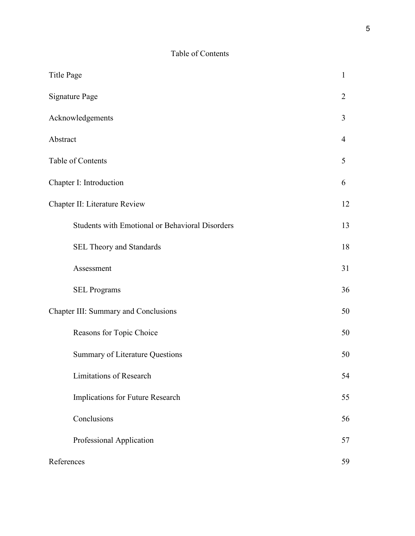# Table of Contents

| <b>Title Page</b>                                      | $\mathbf{1}$   |
|--------------------------------------------------------|----------------|
| <b>Signature Page</b>                                  | $\overline{2}$ |
| Acknowledgements                                       | 3              |
| Abstract                                               | 4              |
| Table of Contents                                      | 5              |
| Chapter I: Introduction                                | 6              |
| Chapter II: Literature Review                          | 12             |
| <b>Students with Emotional or Behavioral Disorders</b> | 13             |
| SEL Theory and Standards                               | 18             |
| Assessment                                             | 31             |
| <b>SEL Programs</b>                                    | 36             |
| Chapter III: Summary and Conclusions                   | 50             |
| Reasons for Topic Choice                               | 50             |
| Summary of Literature Questions                        | 50             |
| Limitations of Research                                | 54             |
| Implications for Future Research                       | 55             |
| Conclusions                                            | 56             |
| Professional Application                               | 57             |
| References                                             | 59             |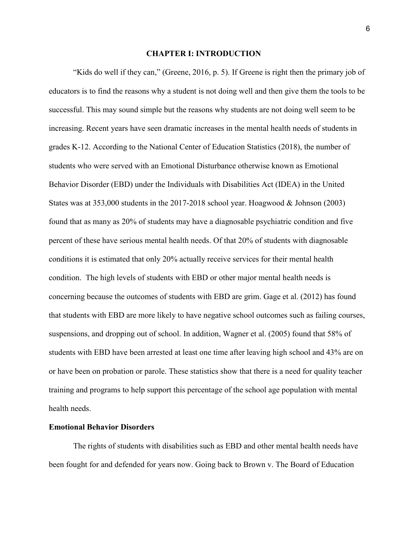### **CHAPTER I: INTRODUCTION**

"Kids do well if they can," (Greene, 2016, p. 5). If Greene is right then the primary job of educators is to find the reasons why a student is not doing well and then give them the tools to be successful. This may sound simple but the reasons why students are not doing well seem to be increasing. Recent years have seen dramatic increases in the mental health needs of students in grades K-12. According to the National Center of Education Statistics (2018), the number of students who were served with an Emotional Disturbance otherwise known as Emotional Behavior Disorder (EBD) under the Individuals with Disabilities Act (IDEA) in the United States was at 353,000 students in the 2017-2018 school year. Hoagwood & Johnson (2003) found that as many as 20% of students may have a diagnosable psychiatric condition and five percent of these have serious mental health needs. Of that 20% of students with diagnosable conditions it is estimated that only 20% actually receive services for their mental health condition. The high levels of students with EBD or other major mental health needs is concerning because the outcomes of students with EBD are grim. Gage et al. (2012) has found that students with EBD are more likely to have negative school outcomes such as failing courses, suspensions, and dropping out of school. In addition, Wagner et al. (2005) found that 58% of students with EBD have been arrested at least one time after leaving high school and 43% are on or have been on probation or parole. These statistics show that there is a need for quality teacher training and programs to help support this percentage of the school age population with mental health needs.

#### **Emotional Behavior Disorders**

 The rights of students with disabilities such as EBD and other mental health needs have been fought for and defended for years now. Going back to Brown v. The Board of Education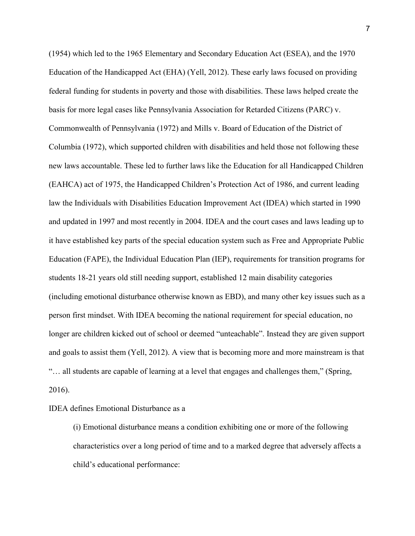(1954) which led to the 1965 Elementary and Secondary Education Act (ESEA), and the 1970 Education of the Handicapped Act (EHA) (Yell, 2012). These early laws focused on providing federal funding for students in poverty and those with disabilities. These laws helped create the basis for more legal cases like Pennsylvania Association for Retarded Citizens (PARC) v. Commonwealth of Pennsylvania (1972) and Mills v. Board of Education of the District of Columbia (1972), which supported children with disabilities and held those not following these new laws accountable. These led to further laws like the Education for all Handicapped Children (EAHCA) act of 1975, the Handicapped Children's Protection Act of 1986, and current leading law the Individuals with Disabilities Education Improvement Act (IDEA) which started in 1990 and updated in 1997 and most recently in 2004. IDEA and the court cases and laws leading up to it have established key parts of the special education system such as Free and Appropriate Public Education (FAPE), the Individual Education Plan (IEP), requirements for transition programs for students 18-21 years old still needing support, established 12 main disability categories (including emotional disturbance otherwise known as EBD), and many other key issues such as a person first mindset. With IDEA becoming the national requirement for special education, no longer are children kicked out of school or deemed "unteachable". Instead they are given support and goals to assist them (Yell, 2012). A view that is becoming more and more mainstream is that "… all students are capable of learning at a level that engages and challenges them," (Spring, 2016).

# IDEA defines Emotional Disturbance as a

(i) Emotional disturbance means a condition exhibiting one or more of the following characteristics over a long period of time and to a marked degree that adversely affects a child's educational performance: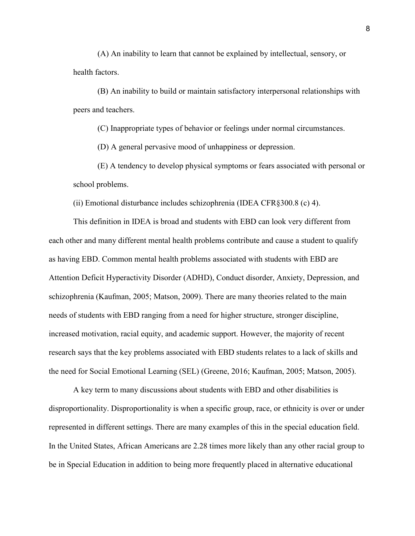(A) An inability to learn that cannot be explained by intellectual, sensory, or health factors.

(B) An inability to build or maintain satisfactory interpersonal relationships with peers and teachers.

(C) Inappropriate types of behavior or feelings under normal circumstances.

(D) A general pervasive mood of unhappiness or depression.

(E) A tendency to develop physical symptoms or fears associated with personal or school problems.

(ii) Emotional disturbance includes schizophrenia (IDEA CFR§300.8 (c) 4).

This definition in IDEA is broad and students with EBD can look very different from each other and many different mental health problems contribute and cause a student to qualify as having EBD. Common mental health problems associated with students with EBD are Attention Deficit Hyperactivity Disorder (ADHD), Conduct disorder, Anxiety, Depression, and schizophrenia (Kaufman, 2005; Matson, 2009). There are many theories related to the main needs of students with EBD ranging from a need for higher structure, stronger discipline, increased motivation, racial equity, and academic support. However, the majority of recent research says that the key problems associated with EBD students relates to a lack of skills and the need for Social Emotional Learning (SEL) (Greene, 2016; Kaufman, 2005; Matson, 2005).

A key term to many discussions about students with EBD and other disabilities is disproportionality. Disproportionality is when a specific group, race, or ethnicity is over or under represented in different settings. There are many examples of this in the special education field. In the United States, African Americans are 2.28 times more likely than any other racial group to be in Special Education in addition to being more frequently placed in alternative educational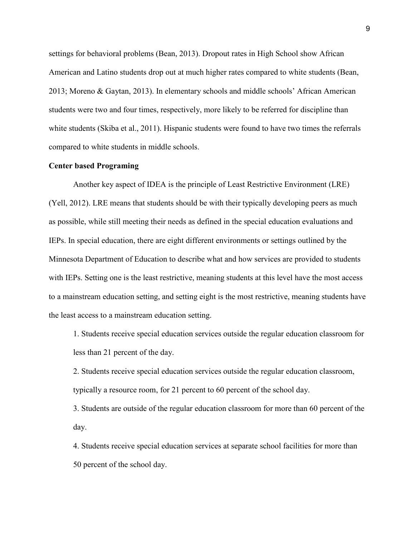settings for behavioral problems (Bean, 2013). Dropout rates in High School show African American and Latino students drop out at much higher rates compared to white students (Bean, 2013; Moreno & Gaytan, 2013). In elementary schools and middle schools' African American students were two and four times, respectively, more likely to be referred for discipline than white students (Skiba et al., 2011). Hispanic students were found to have two times the referrals compared to white students in middle schools.

# **Center based Programing**

Another key aspect of IDEA is the principle of Least Restrictive Environment (LRE) (Yell, 2012). LRE means that students should be with their typically developing peers as much as possible, while still meeting their needs as defined in the special education evaluations and IEPs. In special education, there are eight different environments or settings outlined by the Minnesota Department of Education to describe what and how services are provided to students with IEPs. Setting one is the least restrictive, meaning students at this level have the most access to a mainstream education setting, and setting eight is the most restrictive, meaning students have the least access to a mainstream education setting.

1. Students receive special education services outside the regular education classroom for less than 21 percent of the day.

2. Students receive special education services outside the regular education classroom, typically a resource room, for 21 percent to 60 percent of the school day.

3. Students are outside of the regular education classroom for more than 60 percent of the day.

4. Students receive special education services at separate school facilities for more than 50 percent of the school day.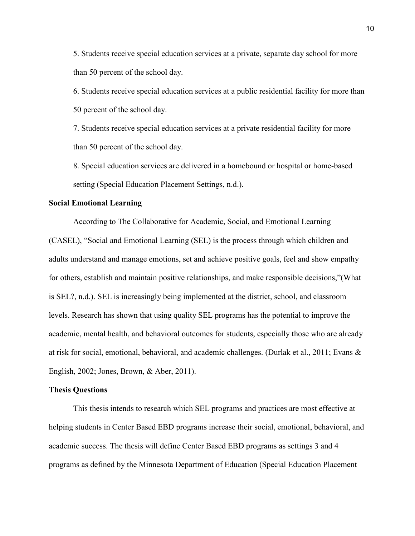5. Students receive special education services at a private, separate day school for more than 50 percent of the school day.

6. Students receive special education services at a public residential facility for more than 50 percent of the school day.

7. Students receive special education services at a private residential facility for more than 50 percent of the school day.

8. Special education services are delivered in a homebound or hospital or home-based setting (Special Education Placement Settings, n.d.).

### **Social Emotional Learning**

According to The Collaborative for Academic, Social, and Emotional Learning (CASEL), "Social and Emotional Learning (SEL) is the process through which children and adults understand and manage emotions, set and achieve positive goals, feel and show empathy for others, establish and maintain positive relationships, and make responsible decisions,"(What is SEL?, n.d.). SEL is increasingly being implemented at the district, school, and classroom levels. Research has shown that using quality SEL programs has the potential to improve the academic, mental health, and behavioral outcomes for students, especially those who are already at risk for social, emotional, behavioral, and academic challenges. (Durlak et al., 2011; Evans & English, 2002; Jones, Brown, & Aber, 2011).

#### **Thesis Questions**

This thesis intends to research which SEL programs and practices are most effective at helping students in Center Based EBD programs increase their social, emotional, behavioral, and academic success. The thesis will define Center Based EBD programs as settings 3 and 4 programs as defined by the Minnesota Department of Education (Special Education Placement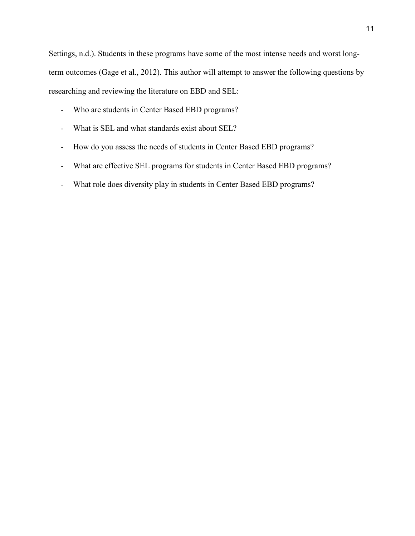Settings, n.d.). Students in these programs have some of the most intense needs and worst longterm outcomes (Gage et al., 2012). This author will attempt to answer the following questions by researching and reviewing the literature on EBD and SEL:

- Who are students in Center Based EBD programs?
- What is SEL and what standards exist about SEL?
- How do you assess the needs of students in Center Based EBD programs?
- What are effective SEL programs for students in Center Based EBD programs?
- What role does diversity play in students in Center Based EBD programs?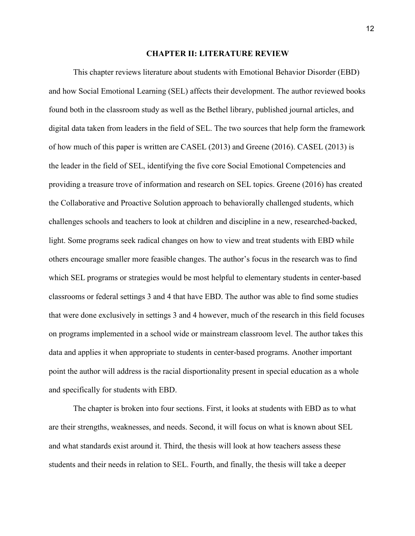### **CHAPTER II: LITERATURE REVIEW**

This chapter reviews literature about students with Emotional Behavior Disorder (EBD) and how Social Emotional Learning (SEL) affects their development. The author reviewed books found both in the classroom study as well as the Bethel library, published journal articles, and digital data taken from leaders in the field of SEL. The two sources that help form the framework of how much of this paper is written are CASEL (2013) and Greene (2016). CASEL (2013) is the leader in the field of SEL, identifying the five core Social Emotional Competencies and providing a treasure trove of information and research on SEL topics. Greene (2016) has created the Collaborative and Proactive Solution approach to behaviorally challenged students, which challenges schools and teachers to look at children and discipline in a new, researched-backed, light. Some programs seek radical changes on how to view and treat students with EBD while others encourage smaller more feasible changes. The author's focus in the research was to find which SEL programs or strategies would be most helpful to elementary students in center-based classrooms or federal settings 3 and 4 that have EBD. The author was able to find some studies that were done exclusively in settings 3 and 4 however, much of the research in this field focuses on programs implemented in a school wide or mainstream classroom level. The author takes this data and applies it when appropriate to students in center-based programs. Another important point the author will address is the racial disportionality present in special education as a whole and specifically for students with EBD.

 The chapter is broken into four sections. First, it looks at students with EBD as to what are their strengths, weaknesses, and needs. Second, it will focus on what is known about SEL and what standards exist around it. Third, the thesis will look at how teachers assess these students and their needs in relation to SEL. Fourth, and finally, the thesis will take a deeper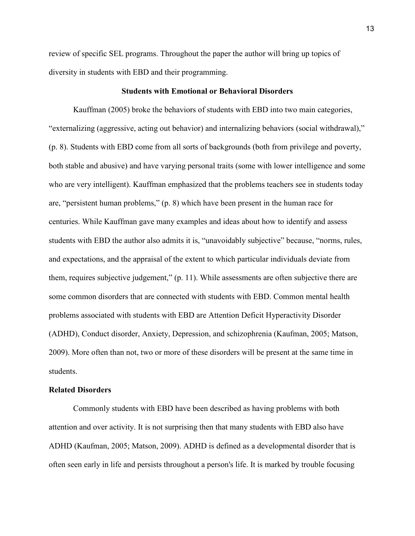review of specific SEL programs. Throughout the paper the author will bring up topics of diversity in students with EBD and their programming.

# **Students with Emotional or Behavioral Disorders**

Kauffman (2005) broke the behaviors of students with EBD into two main categories, "externalizing (aggressive, acting out behavior) and internalizing behaviors (social withdrawal)," (p. 8). Students with EBD come from all sorts of backgrounds (both from privilege and poverty, both stable and abusive) and have varying personal traits (some with lower intelligence and some who are very intelligent). Kauffman emphasized that the problems teachers see in students today are, "persistent human problems," (p. 8) which have been present in the human race for centuries. While Kauffman gave many examples and ideas about how to identify and assess students with EBD the author also admits it is, "unavoidably subjective" because, "norms, rules, and expectations, and the appraisal of the extent to which particular individuals deviate from them, requires subjective judgement," (p. 11). While assessments are often subjective there are some common disorders that are connected with students with EBD. Common mental health problems associated with students with EBD are Attention Deficit Hyperactivity Disorder (ADHD), Conduct disorder, Anxiety, Depression, and schizophrenia (Kaufman, 2005; Matson, 2009). More often than not, two or more of these disorders will be present at the same time in students.

### **Related Disorders**

Commonly students with EBD have been described as having problems with both attention and over activity. It is not surprising then that many students with EBD also have ADHD (Kaufman, 2005; Matson, 2009). ADHD is defined as a developmental disorder that is often seen early in life and persists throughout a person's life. It is marked by trouble focusing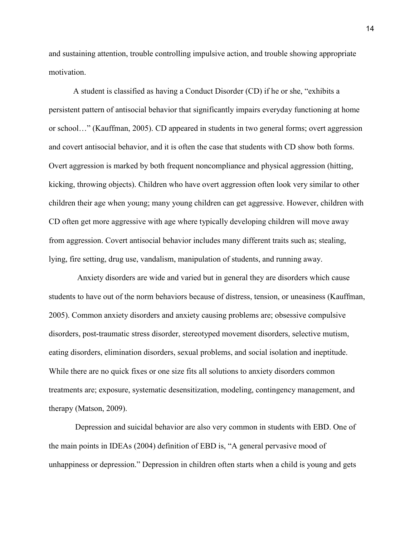and sustaining attention, trouble controlling impulsive action, and trouble showing appropriate motivation.

 A student is classified as having a Conduct Disorder (CD) if he or she, "exhibits a persistent pattern of antisocial behavior that significantly impairs everyday functioning at home or school…" (Kauffman, 2005). CD appeared in students in two general forms; overt aggression and covert antisocial behavior, and it is often the case that students with CD show both forms. Overt aggression is marked by both frequent noncompliance and physical aggression (hitting, kicking, throwing objects). Children who have overt aggression often look very similar to other children their age when young; many young children can get aggressive. However, children with CD often get more aggressive with age where typically developing children will move away from aggression. Covert antisocial behavior includes many different traits such as; stealing, lying, fire setting, drug use, vandalism, manipulation of students, and running away.

 Anxiety disorders are wide and varied but in general they are disorders which cause students to have out of the norm behaviors because of distress, tension, or uneasiness (Kauffman, 2005). Common anxiety disorders and anxiety causing problems are; obsessive compulsive disorders, post-traumatic stress disorder, stereotyped movement disorders, selective mutism, eating disorders, elimination disorders, sexual problems, and social isolation and ineptitude. While there are no quick fixes or one size fits all solutions to anxiety disorders common treatments are; exposure, systematic desensitization, modeling, contingency management, and therapy (Matson, 2009).

 Depression and suicidal behavior are also very common in students with EBD. One of the main points in IDEAs (2004) definition of EBD is, "A general pervasive mood of unhappiness or depression." Depression in children often starts when a child is young and gets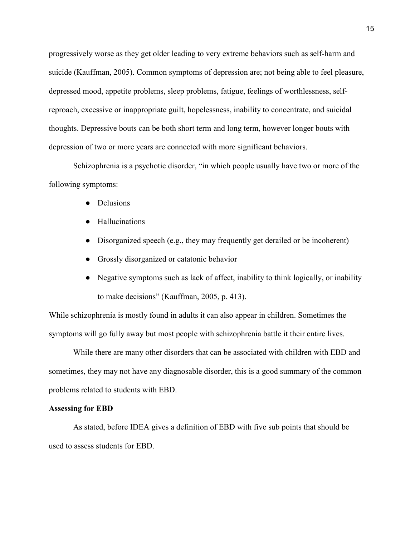progressively worse as they get older leading to very extreme behaviors such as self-harm and suicide (Kauffman, 2005). Common symptoms of depression are; not being able to feel pleasure, depressed mood, appetite problems, sleep problems, fatigue, feelings of worthlessness, selfreproach, excessive or inappropriate guilt, hopelessness, inability to concentrate, and suicidal thoughts. Depressive bouts can be both short term and long term, however longer bouts with depression of two or more years are connected with more significant behaviors.

Schizophrenia is a psychotic disorder, "in which people usually have two or more of the following symptoms:

- Delusions
- Hallucinations
- Disorganized speech (e.g., they may frequently get derailed or be incoherent)
- Grossly disorganized or catatonic behavior
- Negative symptoms such as lack of affect, inability to think logically, or inability to make decisions" (Kauffman, 2005, p. 413).

While schizophrenia is mostly found in adults it can also appear in children. Sometimes the symptoms will go fully away but most people with schizophrenia battle it their entire lives.

While there are many other disorders that can be associated with children with EBD and sometimes, they may not have any diagnosable disorder, this is a good summary of the common problems related to students with EBD.

# **Assessing for EBD**

As stated, before IDEA gives a definition of EBD with five sub points that should be used to assess students for EBD.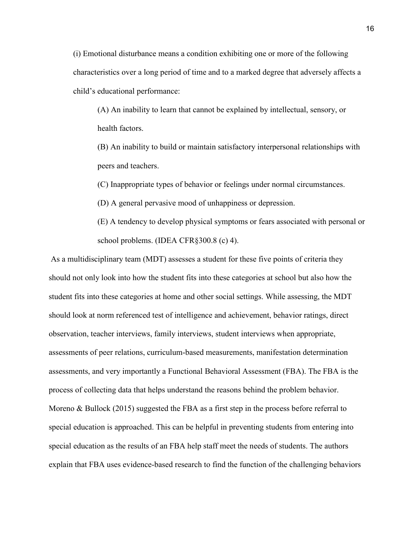(i) Emotional disturbance means a condition exhibiting one or more of the following characteristics over a long period of time and to a marked degree that adversely affects a child's educational performance:

(A) An inability to learn that cannot be explained by intellectual, sensory, or health factors.

(B) An inability to build or maintain satisfactory interpersonal relationships with peers and teachers.

(C) Inappropriate types of behavior or feelings under normal circumstances.

(D) A general pervasive mood of unhappiness or depression.

(E) A tendency to develop physical symptoms or fears associated with personal or school problems. (IDEA CFR§300.8 (c) 4).

As a multidisciplinary team (MDT) assesses a student for these five points of criteria they should not only look into how the student fits into these categories at school but also how the student fits into these categories at home and other social settings. While assessing, the MDT should look at norm referenced test of intelligence and achievement, behavior ratings, direct observation, teacher interviews, family interviews, student interviews when appropriate, assessments of peer relations, curriculum-based measurements, manifestation determination assessments, and very importantly a Functional Behavioral Assessment (FBA). The FBA is the process of collecting data that helps understand the reasons behind the problem behavior. Moreno & Bullock (2015) suggested the FBA as a first step in the process before referral to special education is approached. This can be helpful in preventing students from entering into special education as the results of an FBA help staff meet the needs of students. The authors explain that FBA uses evidence-based research to find the function of the challenging behaviors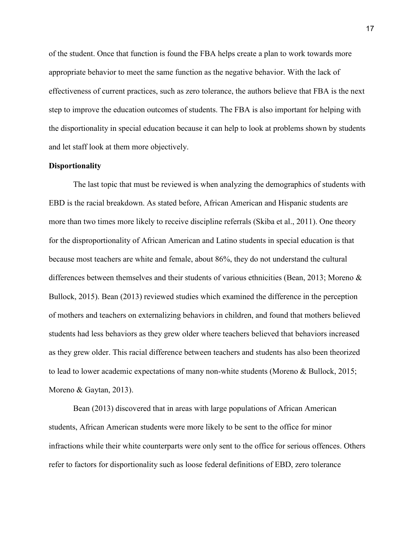of the student. Once that function is found the FBA helps create a plan to work towards more appropriate behavior to meet the same function as the negative behavior. With the lack of effectiveness of current practices, such as zero tolerance, the authors believe that FBA is the next step to improve the education outcomes of students. The FBA is also important for helping with the disportionality in special education because it can help to look at problems shown by students and let staff look at them more objectively.

# **Disportionality**

The last topic that must be reviewed is when analyzing the demographics of students with EBD is the racial breakdown. As stated before, African American and Hispanic students are more than two times more likely to receive discipline referrals (Skiba et al., 2011). One theory for the disproportionality of African American and Latino students in special education is that because most teachers are white and female, about 86%, they do not understand the cultural differences between themselves and their students of various ethnicities (Bean, 2013; Moreno & Bullock, 2015). Bean (2013) reviewed studies which examined the difference in the perception of mothers and teachers on externalizing behaviors in children, and found that mothers believed students had less behaviors as they grew older where teachers believed that behaviors increased as they grew older. This racial difference between teachers and students has also been theorized to lead to lower academic expectations of many non-white students (Moreno & Bullock, 2015; Moreno & Gaytan, 2013).

Bean (2013) discovered that in areas with large populations of African American students, African American students were more likely to be sent to the office for minor infractions while their white counterparts were only sent to the office for serious offences. Others refer to factors for disportionality such as loose federal definitions of EBD, zero tolerance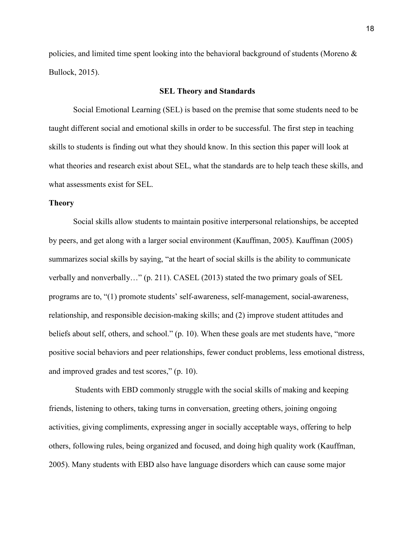policies, and limited time spent looking into the behavioral background of students (Moreno & Bullock, 2015).

# **SEL Theory and Standards**

 Social Emotional Learning (SEL) is based on the premise that some students need to be taught different social and emotional skills in order to be successful. The first step in teaching skills to students is finding out what they should know. In this section this paper will look at what theories and research exist about SEL, what the standards are to help teach these skills, and what assessments exist for SEL.

# **Theory**

Social skills allow students to maintain positive interpersonal relationships, be accepted by peers, and get along with a larger social environment (Kauffman, 2005). Kauffman (2005) summarizes social skills by saying, "at the heart of social skills is the ability to communicate verbally and nonverbally…" (p. 211). CASEL (2013) stated the two primary goals of SEL programs are to, "(1) promote students' self-awareness, self-management, social-awareness, relationship, and responsible decision-making skills; and (2) improve student attitudes and beliefs about self, others, and school." (p. 10). When these goals are met students have, "more positive social behaviors and peer relationships, fewer conduct problems, less emotional distress, and improved grades and test scores," (p. 10).

 Students with EBD commonly struggle with the social skills of making and keeping friends, listening to others, taking turns in conversation, greeting others, joining ongoing activities, giving compliments, expressing anger in socially acceptable ways, offering to help others, following rules, being organized and focused, and doing high quality work (Kauffman, 2005). Many students with EBD also have language disorders which can cause some major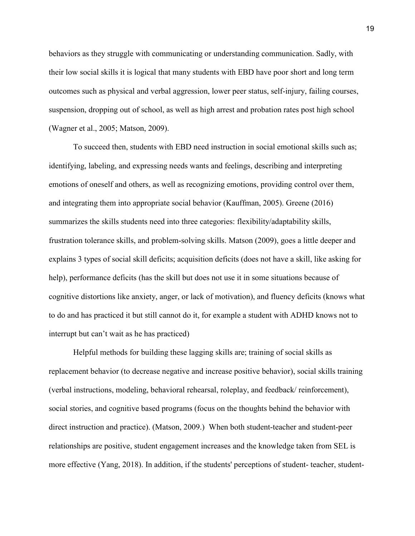behaviors as they struggle with communicating or understanding communication. Sadly, with their low social skills it is logical that many students with EBD have poor short and long term outcomes such as physical and verbal aggression, lower peer status, self-injury, failing courses, suspension, dropping out of school, as well as high arrest and probation rates post high school (Wagner et al., 2005; Matson, 2009).

To succeed then, students with EBD need instruction in social emotional skills such as; identifying, labeling, and expressing needs wants and feelings, describing and interpreting emotions of oneself and others, as well as recognizing emotions, providing control over them, and integrating them into appropriate social behavior (Kauffman, 2005). Greene (2016) summarizes the skills students need into three categories: flexibility/adaptability skills, frustration tolerance skills, and problem-solving skills. Matson (2009), goes a little deeper and explains 3 types of social skill deficits; acquisition deficits (does not have a skill, like asking for help), performance deficits (has the skill but does not use it in some situations because of cognitive distortions like anxiety, anger, or lack of motivation), and fluency deficits (knows what to do and has practiced it but still cannot do it, for example a student with ADHD knows not to interrupt but can't wait as he has practiced)

Helpful methods for building these lagging skills are; training of social skills as replacement behavior (to decrease negative and increase positive behavior), social skills training (verbal instructions, modeling, behavioral rehearsal, roleplay, and feedback/ reinforcement), social stories, and cognitive based programs (focus on the thoughts behind the behavior with direct instruction and practice). (Matson, 2009.) When both student-teacher and student-peer relationships are positive, student engagement increases and the knowledge taken from SEL is more effective (Yang, 2018). In addition, if the students' perceptions of student- teacher, student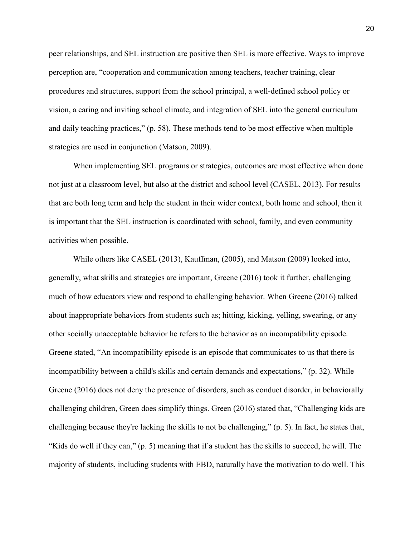peer relationships, and SEL instruction are positive then SEL is more effective. Ways to improve perception are, "cooperation and communication among teachers, teacher training, clear procedures and structures, support from the school principal, a well-defined school policy or vision, a caring and inviting school climate, and integration of SEL into the general curriculum and daily teaching practices," (p. 58). These methods tend to be most effective when multiple strategies are used in conjunction (Matson, 2009).

When implementing SEL programs or strategies, outcomes are most effective when done not just at a classroom level, but also at the district and school level (CASEL, 2013). For results that are both long term and help the student in their wider context, both home and school, then it is important that the SEL instruction is coordinated with school, family, and even community activities when possible.

While others like CASEL (2013), Kauffman, (2005), and Matson (2009) looked into, generally, what skills and strategies are important, Greene (2016) took it further, challenging much of how educators view and respond to challenging behavior. When Greene (2016) talked about inappropriate behaviors from students such as; hitting, kicking, yelling, swearing, or any other socially unacceptable behavior he refers to the behavior as an incompatibility episode. Greene stated, "An incompatibility episode is an episode that communicates to us that there is incompatibility between a child's skills and certain demands and expectations," (p. 32). While Greene (2016) does not deny the presence of disorders, such as conduct disorder, in behaviorally challenging children, Green does simplify things. Green (2016) stated that, "Challenging kids are challenging because they're lacking the skills to not be challenging," (p. 5). In fact, he states that, "Kids do well if they can," (p. 5) meaning that if a student has the skills to succeed, he will. The majority of students, including students with EBD, naturally have the motivation to do well. This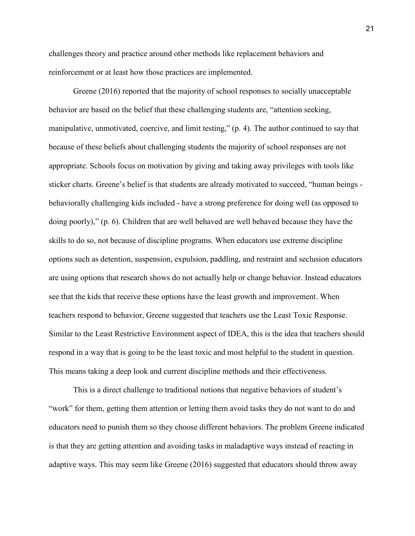challenges theory and practice around other methods like replacement behaviors and reinforcement or at least how those practices are implemented.

Greene (2016) reported that the majority of school responses to socially unacceptable behavior are based on the belief that these challenging students are, "attention seeking, manipulative, unmotivated, coercive, and limit testing," (p. 4). The author continued to say that because of these beliefs about challenging students the majority of school responses are not appropriate. Schools focus on motivation by giving and taking away privileges with tools like sticker charts. Greene's belief is that students are already motivated to succeed, "human beings behaviorally challenging kids included - have a strong preference for doing well (as opposed to doing poorly)," (p. 6). Children that are well behaved are well behaved because they have the skills to do so, not because of discipline programs. When educators use extreme discipline options such as detention, suspension, expulsion, paddling, and restraint and seclusion educators are using options that research shows do not actually help or change behavior. Instead educators see that the kids that receive these options have the least growth and improvement. When teachers respond to behavior, Greene suggested that teachers use the Least Toxic Response. Similar to the Least Restrictive Environment aspect of IDEA, this is the idea that teachers should respond in a way that is going to be the least toxic and most helpful to the student in question. This means taking a deep look and current discipline methods and their effectiveness.

This is a direct challenge to traditional notions that negative behaviors of student's "work" for them, getting them attention or letting them avoid tasks they do not want to do and educators need to punish them so they choose different behaviors. The problem Greene indicated is that they are getting attention and avoiding tasks in maladaptive ways instead of reacting in adaptive ways. This may seem like Greene (2016) suggested that educators should throw away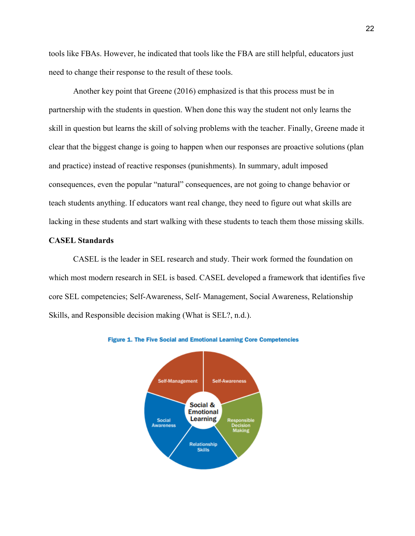tools like FBAs. However, he indicated that tools like the FBA are still helpful, educators just need to change their response to the result of these tools.

Another key point that Greene (2016) emphasized is that this process must be in partnership with the students in question. When done this way the student not only learns the skill in question but learns the skill of solving problems with the teacher. Finally, Greene made it clear that the biggest change is going to happen when our responses are proactive solutions (plan and practice) instead of reactive responses (punishments). In summary, adult imposed consequences, even the popular "natural" consequences, are not going to change behavior or teach students anything. If educators want real change, they need to figure out what skills are lacking in these students and start walking with these students to teach them those missing skills.

# **CASEL Standards**

CASEL is the leader in SEL research and study. Their work formed the foundation on which most modern research in SEL is based. CASEL developed a framework that identifies five core SEL competencies; Self-Awareness, Self- Management, Social Awareness, Relationship Skills, and Responsible decision making (What is SEL?, n.d.).



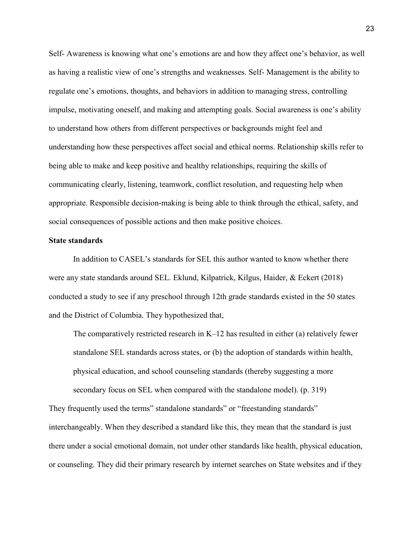Self- Awareness is knowing what one's emotions are and how they affect one's behavior, as well as having a realistic view of one's strengths and weaknesses. Self- Management is the ability to regulate one's emotions, thoughts, and behaviors in addition to managing stress, controlling impulse, motivating oneself, and making and attempting goals. Social awareness is one's ability to understand how others from different perspectives or backgrounds might feel and understanding how these perspectives affect social and ethical norms. Relationship skills refer to being able to make and keep positive and healthy relationships, requiring the skills of communicating clearly, listening, teamwork, conflict resolution, and requesting help when appropriate. Responsible decision-making is being able to think through the ethical, safety, and social consequences of possible actions and then make positive choices.

# **State standards**

In addition to CASEL's standards for SEL this author wanted to know whether there were any state standards around SEL. Eklund, Kilpatrick, Kilgus, Haider, & Eckert (2018) conducted a study to see if any preschool through 12th grade standards existed in the 50 states and the District of Columbia. They hypothesized that,

The comparatively restricted research in  $K-12$  has resulted in either (a) relatively fewer standalone SEL standards across states, or (b) the adoption of standards within health, physical education, and school counseling standards (thereby suggesting a more secondary focus on SEL when compared with the standalone model). (p. 319)

They frequently used the terms" standalone standards" or "freestanding standards" interchangeably. When they described a standard like this, they mean that the standard is just there under a social emotional domain, not under other standards like health, physical education, or counseling. They did their primary research by internet searches on State websites and if they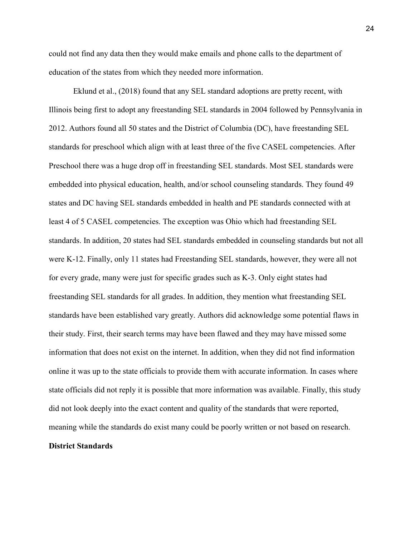could not find any data then they would make emails and phone calls to the department of education of the states from which they needed more information.

 Eklund et al., (2018) found that any SEL standard adoptions are pretty recent, with Illinois being first to adopt any freestanding SEL standards in 2004 followed by Pennsylvania in 2012. Authors found all 50 states and the District of Columbia (DC), have freestanding SEL standards for preschool which align with at least three of the five CASEL competencies. After Preschool there was a huge drop off in freestanding SEL standards. Most SEL standards were embedded into physical education, health, and/or school counseling standards. They found 49 states and DC having SEL standards embedded in health and PE standards connected with at least 4 of 5 CASEL competencies. The exception was Ohio which had freestanding SEL standards. In addition, 20 states had SEL standards embedded in counseling standards but not all were K-12. Finally, only 11 states had Freestanding SEL standards, however, they were all not for every grade, many were just for specific grades such as K-3. Only eight states had freestanding SEL standards for all grades. In addition, they mention what freestanding SEL standards have been established vary greatly. Authors did acknowledge some potential flaws in their study. First, their search terms may have been flawed and they may have missed some information that does not exist on the internet. In addition, when they did not find information online it was up to the state officials to provide them with accurate information. In cases where state officials did not reply it is possible that more information was available. Finally, this study did not look deeply into the exact content and quality of the standards that were reported, meaning while the standards do exist many could be poorly written or not based on research. **District Standards**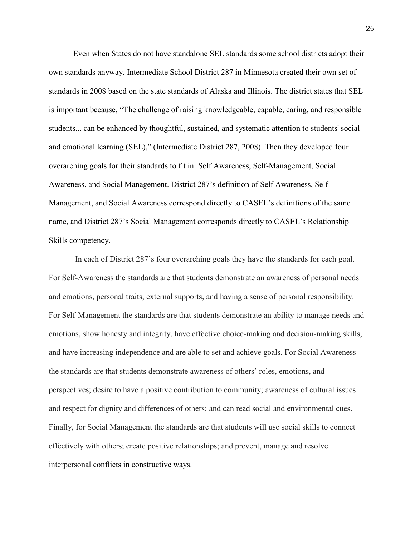Even when States do not have standalone SEL standards some school districts adopt their own standards anyway. Intermediate School District 287 in Minnesota created their own set of standards in 2008 based on the state standards of Alaska and Illinois. The district states that SEL is important because, "The challenge of raising knowledgeable, capable, caring, and responsible students... can be enhanced by thoughtful, sustained, and systematic attention to students' social and emotional learning (SEL)," (Intermediate District 287, 2008). Then they developed four overarching goals for their standards to fit in: Self Awareness, Self-Management, Social Awareness, and Social Management. District 287's definition of Self Awareness, Self-Management, and Social Awareness correspond directly to CASEL's definitions of the same name, and District 287's Social Management corresponds directly to CASEL's Relationship Skills competency.

In each of District 287's four overarching goals they have the standards for each goal. For Self-Awareness the standards are that students demonstrate an awareness of personal needs and emotions, personal traits, external supports, and having a sense of personal responsibility. For Self-Management the standards are that students demonstrate an ability to manage needs and emotions, show honesty and integrity, have effective choice-making and decision-making skills, and have increasing independence and are able to set and achieve goals. For Social Awareness the standards are that students demonstrate awareness of others' roles, emotions, and perspectives; desire to have a positive contribution to community; awareness of cultural issues and respect for dignity and differences of others; and can read social and environmental cues. Finally, for Social Management the standards are that students will use social skills to connect effectively with others; create positive relationships; and prevent, manage and resolve interpersonal conflicts in constructive ways.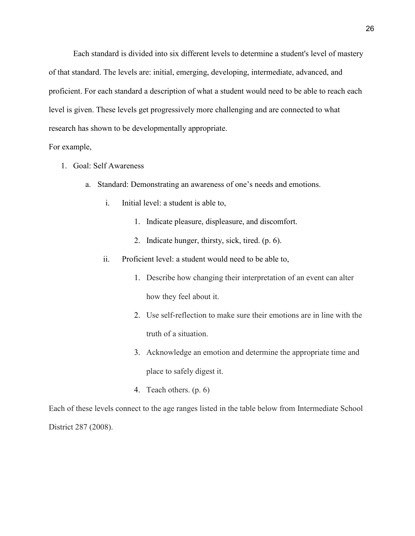Each standard is divided into six different levels to determine a student's level of mastery of that standard. The levels are: initial, emerging, developing, intermediate, advanced, and proficient. For each standard a description of what a student would need to be able to reach each level is given. These levels get progressively more challenging and are connected to what research has shown to be developmentally appropriate.

# For example,

- 1. Goal: Self Awareness
	- a. Standard: Demonstrating an awareness of one's needs and emotions.
		- i. Initial level: a student is able to,
			- 1. Indicate pleasure, displeasure, and discomfort.
			- 2. Indicate hunger, thirsty, sick, tired. (p. 6).
		- ii. Proficient level: a student would need to be able to,
			- 1. Describe how changing their interpretation of an event can alter how they feel about it.
			- 2. Use self-reflection to make sure their emotions are in line with the truth of a situation.
			- 3. Acknowledge an emotion and determine the appropriate time and place to safely digest it.
			- 4. Teach others. (p. 6)

Each of these levels connect to the age ranges listed in the table below from Intermediate School District 287 (2008).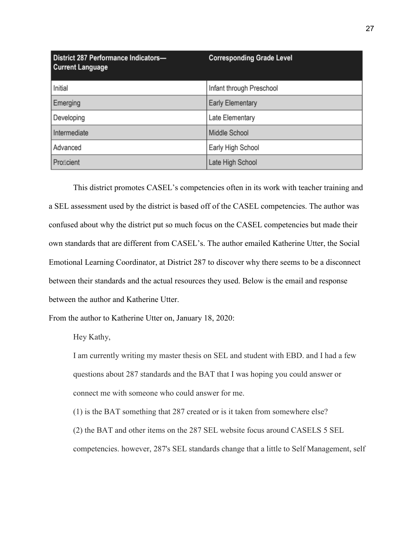| District 287 Performance Indicators-<br><b>Current Language</b> | <b>Corresponding Grade Level</b> |
|-----------------------------------------------------------------|----------------------------------|
| Initial                                                         | Infant through Preschool         |
| Emerging                                                        | <b>Early Elementary</b>          |
| Developing                                                      | Late Elementary                  |
| Intermediate                                                    | Middle School                    |
| Advanced                                                        | Early High School                |
| Proficient                                                      | Late High School                 |

This district promotes CASEL's competencies often in its work with teacher training and a SEL assessment used by the district is based off of the CASEL competencies. The author was confused about why the district put so much focus on the CASEL competencies but made their own standards that are different from CASEL's. The author emailed Katherine Utter, the Social Emotional Learning Coordinator, at District 287 to discover why there seems to be a disconnect between their standards and the actual resources they used. Below is the email and response between the author and Katherine Utter.

From the author to Katherine Utter on, January 18, 2020:

Hey Kathy,

I am currently writing my master thesis on SEL and student with EBD. and I had a few questions about 287 standards and the BAT that I was hoping you could answer or connect me with someone who could answer for me.

(1) is the BAT something that 287 created or is it taken from somewhere else? (2) the BAT and other items on the 287 SEL website focus around CASELS 5 SEL competencies. however, 287's SEL standards change that a little to Self Management, self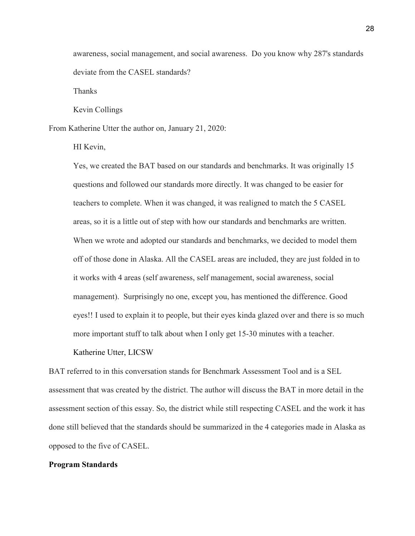awareness, social management, and social awareness. Do you know why 287's standards deviate from the CASEL standards?

Thanks

Kevin Collings

From Katherine Utter the author on, January 21, 2020:

HI Kevin,

Yes, we created the BAT based on our standards and benchmarks. It was originally 15 questions and followed our standards more directly. It was changed to be easier for teachers to complete. When it was changed, it was realigned to match the 5 CASEL areas, so it is a little out of step with how our standards and benchmarks are written. When we wrote and adopted our standards and benchmarks, we decided to model them off of those done in Alaska. All the CASEL areas are included, they are just folded in to it works with 4 areas (self awareness, self management, social awareness, social management). Surprisingly no one, except you, has mentioned the difference. Good eyes!! I used to explain it to people, but their eyes kinda glazed over and there is so much more important stuff to talk about when I only get 15-30 minutes with a teacher.

#### Katherine Utter, LICSW

BAT referred to in this conversation stands for Benchmark Assessment Tool and is a SEL assessment that was created by the district. The author will discuss the BAT in more detail in the assessment section of this essay. So, the district while still respecting CASEL and the work it has done still believed that the standards should be summarized in the 4 categories made in Alaska as opposed to the five of CASEL.

#### **Program Standards**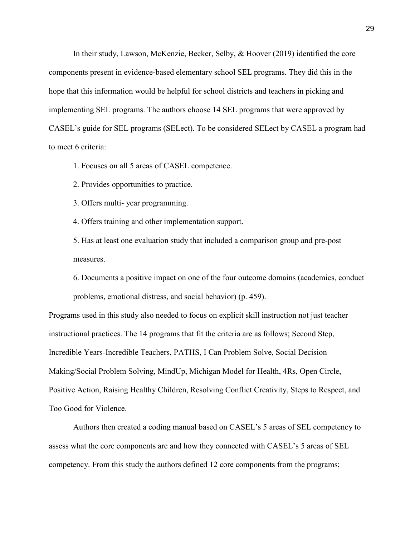In their study, Lawson, McKenzie, Becker, Selby, & Hoover (2019) identified the core components present in evidence-based elementary school SEL programs. They did this in the hope that this information would be helpful for school districts and teachers in picking and implementing SEL programs. The authors choose 14 SEL programs that were approved by CASEL's guide for SEL programs (SELect). To be considered SELect by CASEL a program had to meet 6 criteria:

1. Focuses on all 5 areas of CASEL competence.

2. Provides opportunities to practice.

3. Offers multi- year programming.

4. Offers training and other implementation support.

5. Has at least one evaluation study that included a comparison group and pre-post measures.

6. Documents a positive impact on one of the four outcome domains (academics, conduct problems, emotional distress, and social behavior) (p. 459).

Programs used in this study also needed to focus on explicit skill instruction not just teacher instructional practices. The 14 programs that fit the criteria are as follows; Second Step, Incredible Years-Incredible Teachers, PATHS, I Can Problem Solve, Social Decision Making/Social Problem Solving, MindUp, Michigan Model for Health, 4Rs, Open Circle, Positive Action, Raising Healthy Children, Resolving Conflict Creativity, Steps to Respect, and Too Good for Violence.

Authors then created a coding manual based on CASEL's 5 areas of SEL competency to assess what the core components are and how they connected with CASEL's 5 areas of SEL competency. From this study the authors defined 12 core components from the programs;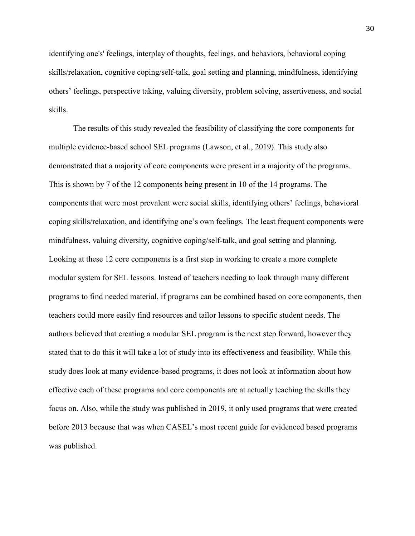identifying one's' feelings, interplay of thoughts, feelings, and behaviors, behavioral coping skills/relaxation, cognitive coping/self-talk, goal setting and planning, mindfulness, identifying others' feelings, perspective taking, valuing diversity, problem solving, assertiveness, and social skills.

The results of this study revealed the feasibility of classifying the core components for multiple evidence-based school SEL programs (Lawson, et al., 2019). This study also demonstrated that a majority of core components were present in a majority of the programs. This is shown by 7 of the 12 components being present in 10 of the 14 programs. The components that were most prevalent were social skills, identifying others' feelings, behavioral coping skills/relaxation, and identifying one's own feelings. The least frequent components were mindfulness, valuing diversity, cognitive coping/self-talk, and goal setting and planning. Looking at these 12 core components is a first step in working to create a more complete modular system for SEL lessons. Instead of teachers needing to look through many different programs to find needed material, if programs can be combined based on core components, then teachers could more easily find resources and tailor lessons to specific student needs. The authors believed that creating a modular SEL program is the next step forward, however they stated that to do this it will take a lot of study into its effectiveness and feasibility. While this study does look at many evidence-based programs, it does not look at information about how effective each of these programs and core components are at actually teaching the skills they focus on. Also, while the study was published in 2019, it only used programs that were created before 2013 because that was when CASEL's most recent guide for evidenced based programs was published.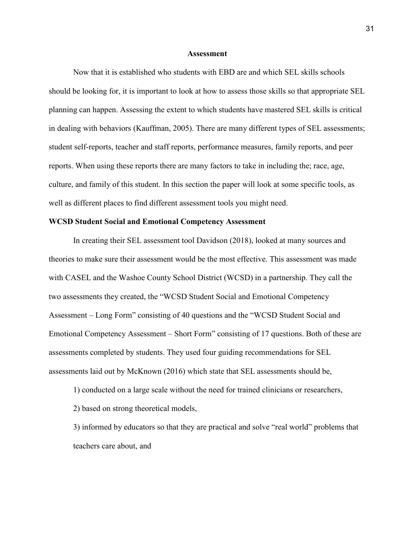#### **Assessment**

Now that it is established who students with EBD are and which SEL skills schools should be looking for, it is important to look at how to assess those skills so that appropriate SEL planning can happen. Assessing the extent to which students have mastered SEL skills is critical in dealing with behaviors (Kauffman, 2005). There are many different types of SEL assessments; student self-reports, teacher and staff reports, performance measures, family reports, and peer reports. When using these reports there are many factors to take in including the; race, age, culture, and family of this student. In this section the paper will look at some specific tools, as well as different places to find different assessment tools you might need.

### **WCSD Student Social and Emotional Competency Assessment**

In creating their SEL assessment tool Davidson (2018), looked at many sources and theories to make sure their assessment would be the most effective. This assessment was made with CASEL and the Washoe County School District (WCSD) in a partnership. They call the two assessments they created, the "WCSD Student Social and Emotional Competency Assessment – Long Form" consisting of 40 questions and the "WCSD Student Social and Emotional Competency Assessment – Short Form" consisting of 17 questions. Both of these are assessments completed by students. They used four guiding recommendations for SEL assessments laid out by McKnown (2016) which state that SEL assessments should be,

1) conducted on a large scale without the need for trained clinicians or researchers,

2) based on strong theoretical models,

3) informed by educators so that they are practical and solve "real world" problems that teachers care about, and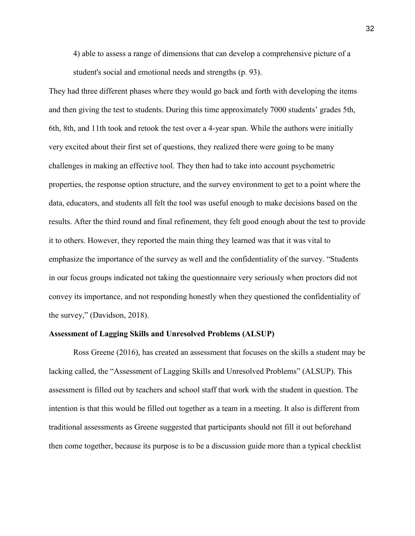4) able to assess a range of dimensions that can develop a comprehensive picture of a student's social and emotional needs and strengths (p. 93).

They had three different phases where they would go back and forth with developing the items and then giving the test to students. During this time approximately 7000 students' grades 5th, 6th, 8th, and 11th took and retook the test over a 4-year span. While the authors were initially very excited about their first set of questions, they realized there were going to be many challenges in making an effective tool. They then had to take into account psychometric properties, the response option structure, and the survey environment to get to a point where the data, educators, and students all felt the tool was useful enough to make decisions based on the results. After the third round and final refinement, they felt good enough about the test to provide it to others. However, they reported the main thing they learned was that it was vital to emphasize the importance of the survey as well and the confidentiality of the survey. "Students in our focus groups indicated not taking the questionnaire very seriously when proctors did not convey its importance, and not responding honestly when they questioned the confidentiality of the survey," (Davidson, 2018).

#### **Assessment of Lagging Skills and Unresolved Problems (ALSUP)**

 Ross Greene (2016), has created an assessment that focuses on the skills a student may be lacking called, the "Assessment of Lagging Skills and Unresolved Problems" (ALSUP). This assessment is filled out by teachers and school staff that work with the student in question. The intention is that this would be filled out together as a team in a meeting. It also is different from traditional assessments as Greene suggested that participants should not fill it out beforehand then come together, because its purpose is to be a discussion guide more than a typical checklist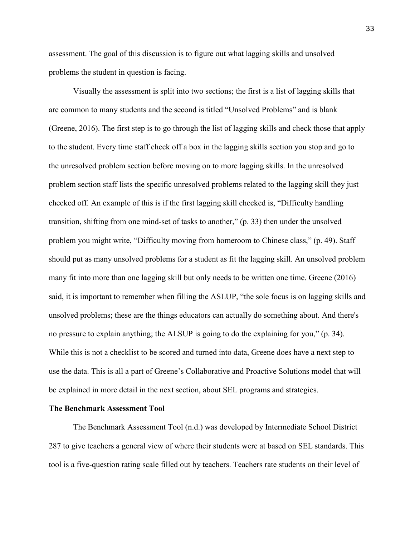assessment. The goal of this discussion is to figure out what lagging skills and unsolved problems the student in question is facing.

Visually the assessment is split into two sections; the first is a list of lagging skills that are common to many students and the second is titled "Unsolved Problems" and is blank (Greene, 2016). The first step is to go through the list of lagging skills and check those that apply to the student. Every time staff check off a box in the lagging skills section you stop and go to the unresolved problem section before moving on to more lagging skills. In the unresolved problem section staff lists the specific unresolved problems related to the lagging skill they just checked off. An example of this is if the first lagging skill checked is, "Difficulty handling transition, shifting from one mind-set of tasks to another," (p. 33) then under the unsolved problem you might write, "Difficulty moving from homeroom to Chinese class," (p. 49). Staff should put as many unsolved problems for a student as fit the lagging skill. An unsolved problem many fit into more than one lagging skill but only needs to be written one time. Greene (2016) said, it is important to remember when filling the ASLUP, "the sole focus is on lagging skills and unsolved problems; these are the things educators can actually do something about. And there's no pressure to explain anything; the ALSUP is going to do the explaining for you," (p. 34). While this is not a checklist to be scored and turned into data, Greene does have a next step to use the data. This is all a part of Greene's Collaborative and Proactive Solutions model that will be explained in more detail in the next section, about SEL programs and strategies.

### **The Benchmark Assessment Tool**

The Benchmark Assessment Tool (n.d.) was developed by Intermediate School District 287 to give teachers a general view of where their students were at based on SEL standards. This tool is a five-question rating scale filled out by teachers. Teachers rate students on their level of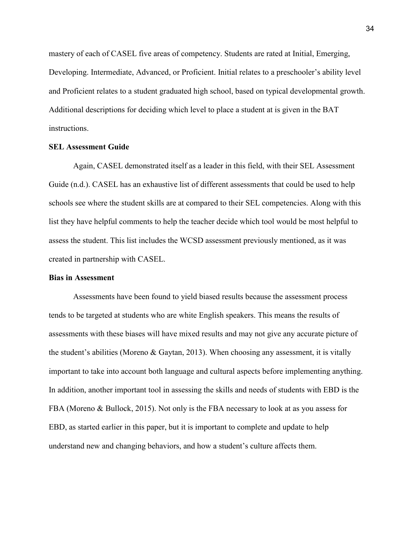mastery of each of CASEL five areas of competency. Students are rated at Initial, Emerging, Developing. Intermediate, Advanced, or Proficient. Initial relates to a preschooler's ability level and Proficient relates to a student graduated high school, based on typical developmental growth. Additional descriptions for deciding which level to place a student at is given in the BAT instructions.

# **SEL Assessment Guide**

Again, CASEL demonstrated itself as a leader in this field, with their SEL Assessment Guide (n.d.). CASEL has an exhaustive list of different assessments that could be used to help schools see where the student skills are at compared to their SEL competencies. Along with this list they have helpful comments to help the teacher decide which tool would be most helpful to assess the student. This list includes the WCSD assessment previously mentioned, as it was created in partnership with CASEL.

# **Bias in Assessment**

Assessments have been found to yield biased results because the assessment process tends to be targeted at students who are white English speakers. This means the results of assessments with these biases will have mixed results and may not give any accurate picture of the student's abilities (Moreno & Gaytan, 2013). When choosing any assessment, it is vitally important to take into account both language and cultural aspects before implementing anything. In addition, another important tool in assessing the skills and needs of students with EBD is the FBA (Moreno & Bullock, 2015). Not only is the FBA necessary to look at as you assess for EBD, as started earlier in this paper, but it is important to complete and update to help understand new and changing behaviors, and how a student's culture affects them.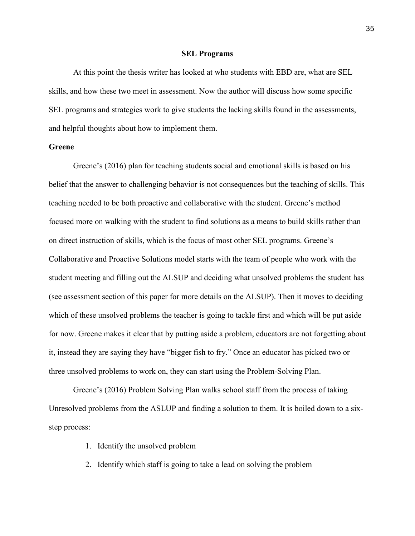#### **SEL Programs**

At this point the thesis writer has looked at who students with EBD are, what are SEL skills, and how these two meet in assessment. Now the author will discuss how some specific SEL programs and strategies work to give students the lacking skills found in the assessments, and helpful thoughts about how to implement them.

# **Greene**

Greene's (2016) plan for teaching students social and emotional skills is based on his belief that the answer to challenging behavior is not consequences but the teaching of skills. This teaching needed to be both proactive and collaborative with the student. Greene's method focused more on walking with the student to find solutions as a means to build skills rather than on direct instruction of skills, which is the focus of most other SEL programs. Greene's Collaborative and Proactive Solutions model starts with the team of people who work with the student meeting and filling out the ALSUP and deciding what unsolved problems the student has (see assessment section of this paper for more details on the ALSUP). Then it moves to deciding which of these unsolved problems the teacher is going to tackle first and which will be put aside for now. Greene makes it clear that by putting aside a problem, educators are not forgetting about it, instead they are saying they have "bigger fish to fry." Once an educator has picked two or three unsolved problems to work on, they can start using the Problem-Solving Plan.

Greene's (2016) Problem Solving Plan walks school staff from the process of taking Unresolved problems from the ASLUP and finding a solution to them. It is boiled down to a sixstep process:

- 1. Identify the unsolved problem
- 2. Identify which staff is going to take a lead on solving the problem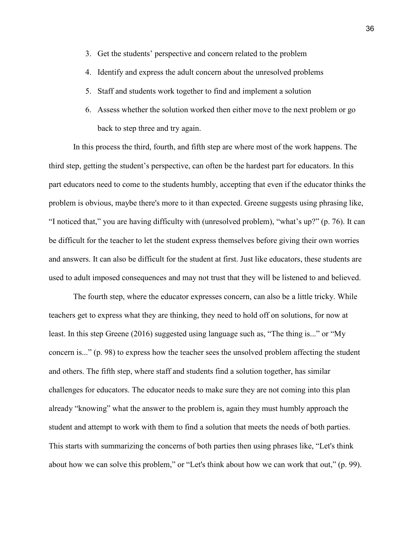- 3. Get the students' perspective and concern related to the problem
- 4. Identify and express the adult concern about the unresolved problems
- 5. Staff and students work together to find and implement a solution
- 6. Assess whether the solution worked then either move to the next problem or go back to step three and try again.

In this process the third, fourth, and fifth step are where most of the work happens. The third step, getting the student's perspective, can often be the hardest part for educators. In this part educators need to come to the students humbly, accepting that even if the educator thinks the problem is obvious, maybe there's more to it than expected. Greene suggests using phrasing like, "I noticed that," you are having difficulty with (unresolved problem), "what's up?" (p. 76). It can be difficult for the teacher to let the student express themselves before giving their own worries and answers. It can also be difficult for the student at first. Just like educators, these students are used to adult imposed consequences and may not trust that they will be listened to and believed.

The fourth step, where the educator expresses concern, can also be a little tricky. While teachers get to express what they are thinking, they need to hold off on solutions, for now at least. In this step Greene (2016) suggested using language such as, "The thing is..." or "My concern is..." (p. 98) to express how the teacher sees the unsolved problem affecting the student and others. The fifth step, where staff and students find a solution together, has similar challenges for educators. The educator needs to make sure they are not coming into this plan already "knowing" what the answer to the problem is, again they must humbly approach the student and attempt to work with them to find a solution that meets the needs of both parties. This starts with summarizing the concerns of both parties then using phrases like, "Let's think about how we can solve this problem," or "Let's think about how we can work that out," (p. 99).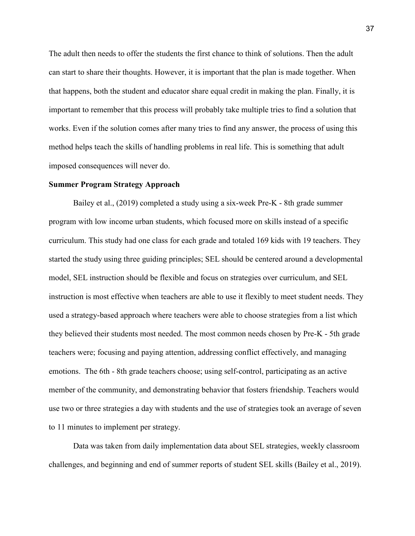The adult then needs to offer the students the first chance to think of solutions. Then the adult can start to share their thoughts. However, it is important that the plan is made together. When that happens, both the student and educator share equal credit in making the plan. Finally, it is important to remember that this process will probably take multiple tries to find a solution that works. Even if the solution comes after many tries to find any answer, the process of using this method helps teach the skills of handling problems in real life. This is something that adult imposed consequences will never do.

#### **Summer Program Strategy Approach**

Bailey et al., (2019) completed a study using a six-week Pre-K - 8th grade summer program with low income urban students, which focused more on skills instead of a specific curriculum. This study had one class for each grade and totaled 169 kids with 19 teachers. They started the study using three guiding principles; SEL should be centered around a developmental model, SEL instruction should be flexible and focus on strategies over curriculum, and SEL instruction is most effective when teachers are able to use it flexibly to meet student needs. They used a strategy-based approach where teachers were able to choose strategies from a list which they believed their students most needed. The most common needs chosen by Pre-K - 5th grade teachers were; focusing and paying attention, addressing conflict effectively, and managing emotions. The 6th - 8th grade teachers choose; using self-control, participating as an active member of the community, and demonstrating behavior that fosters friendship. Teachers would use two or three strategies a day with students and the use of strategies took an average of seven to 11 minutes to implement per strategy.

Data was taken from daily implementation data about SEL strategies, weekly classroom challenges, and beginning and end of summer reports of student SEL skills (Bailey et al., 2019).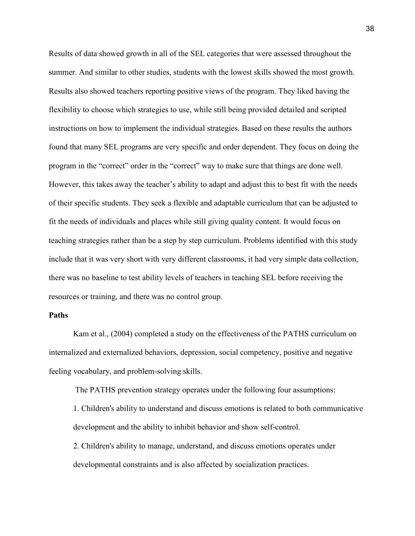Results of data showed growth in all of the SEL categories that were assessed throughout the summer. And similar to other studies, students with the lowest skills showed the most growth. Results also showed teachers reporting positive views of the program. They liked having the flexibility to choose which strategies to use, while still being provided detailed and scripted instructions on how to implement the individual strategies. Based on these results the authors found that many SEL programs are very specific and order dependent. They focus on doing the program in the "correct" order in the "correct" way to make sure that things are done well. However, this takes away the teacher's ability to adapt and adjust this to best fit with the needs of their specific students. They seek a flexible and adaptable curriculum that can be adjusted to fit the needs of individuals and places while still giving quality content. It would focus on teaching strategies rather than be a step by step curriculum. Problems identified with this study include that it was very short with very different classrooms, it had very simple data collection, there was no baseline to test ability levels of teachers in teaching SEL before receiving the resources or training, and there was no control group.

# **Paths**

 Kam et al., (2004) completed a study on the effectiveness of the PATHS curriculum on internalized and externalized behaviors, depression, social competency, positive and negative feeling vocabulary, and problem-solving skills.

The PATHS prevention strategy operates under the following four assumptions:

1. Children's ability to understand and discuss emotions is related to both communicative development and the ability to inhibit behavior and show self-control.

2. Children's ability to manage, understand, and discuss emotions operates under developmental constraints and is also affected by socialization practices.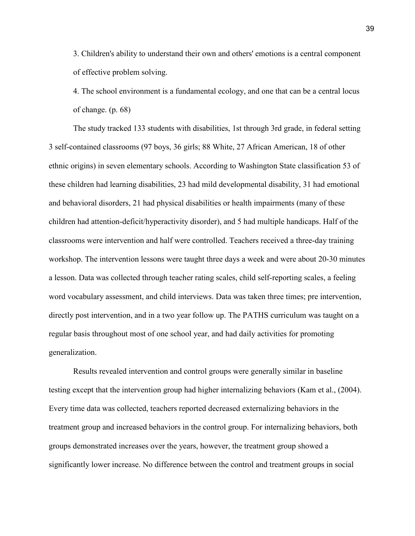3. Children's ability to understand their own and others' emotions is a central component of effective problem solving.

4. The school environment is a fundamental ecology, and one that can be a central locus of change. (p. 68)

The study tracked 133 students with disabilities, 1st through 3rd grade, in federal setting 3 self-contained classrooms (97 boys, 36 girls; 88 White, 27 African American, 18 of other ethnic origins) in seven elementary schools. According to Washington State classification 53 of these children had learning disabilities, 23 had mild developmental disability, 31 had emotional and behavioral disorders, 21 had physical disabilities or health impairments (many of these children had attention-deficit/hyperactivity disorder), and 5 had multiple handicaps. Half of the classrooms were intervention and half were controlled. Teachers received a three-day training workshop. The intervention lessons were taught three days a week and were about 20-30 minutes a lesson. Data was collected through teacher rating scales, child self-reporting scales, a feeling word vocabulary assessment, and child interviews. Data was taken three times; pre intervention, directly post intervention, and in a two year follow up. The PATHS curriculum was taught on a regular basis throughout most of one school year, and had daily activities for promoting generalization.

 Results revealed intervention and control groups were generally similar in baseline testing except that the intervention group had higher internalizing behaviors (Kam et al., (2004). Every time data was collected, teachers reported decreased externalizing behaviors in the treatment group and increased behaviors in the control group. For internalizing behaviors, both groups demonstrated increases over the years, however, the treatment group showed a significantly lower increase. No difference between the control and treatment groups in social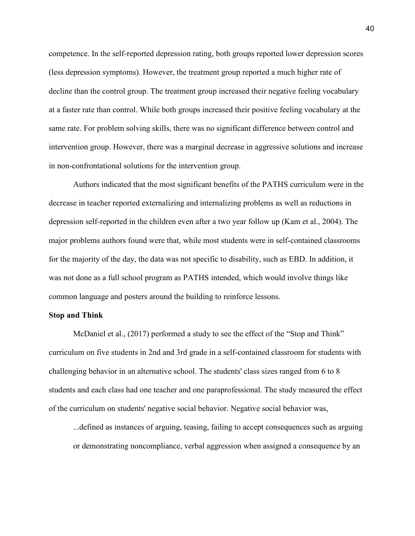competence. In the self-reported depression rating, both groups reported lower depression scores (less depression symptoms). However, the treatment group reported a much higher rate of decline than the control group. The treatment group increased their negative feeling vocabulary at a faster rate than control. While both groups increased their positive feeling vocabulary at the same rate. For problem solving skills, there was no significant difference between control and intervention group. However, there was a marginal decrease in aggressive solutions and increase in non-confrontational solutions for the intervention group.

Authors indicated that the most significant benefits of the PATHS curriculum were in the decrease in teacher reported externalizing and internalizing problems as well as reductions in depression self-reported in the children even after a two year follow up (Kam et al., 2004). The major problems authors found were that, while most students were in self-contained classrooms for the majority of the day, the data was not specific to disability, such as EBD. In addition, it was not done as a full school program as PATHS intended, which would involve things like common language and posters around the building to reinforce lessons.

# **Stop and Think**

 McDaniel et al., (2017) performed a study to see the effect of the "Stop and Think" curriculum on five students in 2nd and 3rd grade in a self-contained classroom for students with challenging behavior in an alternative school. The students' class sizes ranged from 6 to 8 students and each class had one teacher and one paraprofessional. The study measured the effect of the curriculum on students' negative social behavior. Negative social behavior was,

...defined as instances of arguing, teasing, failing to accept consequences such as arguing or demonstrating noncompliance, verbal aggression when assigned a consequence by an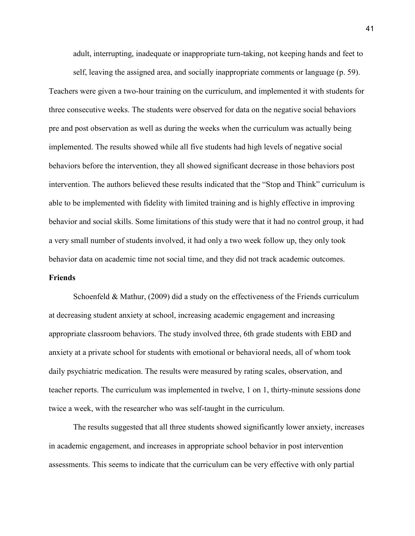adult, interrupting, inadequate or inappropriate turn-taking, not keeping hands and feet to

self, leaving the assigned area, and socially inappropriate comments or language (p. 59). Teachers were given a two-hour training on the curriculum, and implemented it with students for three consecutive weeks. The students were observed for data on the negative social behaviors pre and post observation as well as during the weeks when the curriculum was actually being implemented. The results showed while all five students had high levels of negative social behaviors before the intervention, they all showed significant decrease in those behaviors post intervention. The authors believed these results indicated that the "Stop and Think" curriculum is able to be implemented with fidelity with limited training and is highly effective in improving behavior and social skills. Some limitations of this study were that it had no control group, it had a very small number of students involved, it had only a two week follow up, they only took behavior data on academic time not social time, and they did not track academic outcomes.

# **Friends**

Schoenfeld & Mathur, (2009) did a study on the effectiveness of the Friends curriculum at decreasing student anxiety at school, increasing academic engagement and increasing appropriate classroom behaviors. The study involved three, 6th grade students with EBD and anxiety at a private school for students with emotional or behavioral needs, all of whom took daily psychiatric medication. The results were measured by rating scales, observation, and teacher reports. The curriculum was implemented in twelve, 1 on 1, thirty-minute sessions done twice a week, with the researcher who was self-taught in the curriculum.

The results suggested that all three students showed significantly lower anxiety, increases in academic engagement, and increases in appropriate school behavior in post intervention assessments. This seems to indicate that the curriculum can be very effective with only partial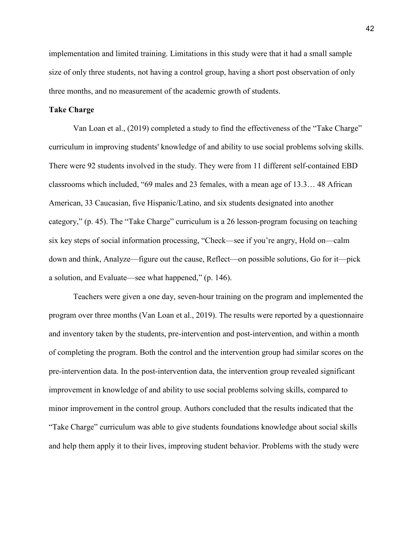implementation and limited training. Limitations in this study were that it had a small sample size of only three students, not having a control group, having a short post observation of only three months, and no measurement of the academic growth of students.

# **Take Charge**

 Van Loan et al., (2019) completed a study to find the effectiveness of the "Take Charge" curriculum in improving students' knowledge of and ability to use social problems solving skills. There were 92 students involved in the study. They were from 11 different self-contained EBD classrooms which included, "69 males and 23 females, with a mean age of 13.3… 48 African American, 33 Caucasian, five Hispanic/Latino, and six students designated into another category," (p. 45). The "Take Charge" curriculum is a 26 lesson-program focusing on teaching six key steps of social information processing, "Check—see if you're angry, Hold on—calm down and think, Analyze—figure out the cause, Reflect—on possible solutions, Go for it—pick a solution, and Evaluate—see what happened," (p. 146).

Teachers were given a one day, seven-hour training on the program and implemented the program over three months (Van Loan et al., 2019). The results were reported by a questionnaire and inventory taken by the students, pre-intervention and post-intervention, and within a month of completing the program. Both the control and the intervention group had similar scores on the pre-intervention data. In the post-intervention data, the intervention group revealed significant improvement in knowledge of and ability to use social problems solving skills, compared to minor improvement in the control group. Authors concluded that the results indicated that the "Take Charge" curriculum was able to give students foundations knowledge about social skills and help them apply it to their lives, improving student behavior. Problems with the study were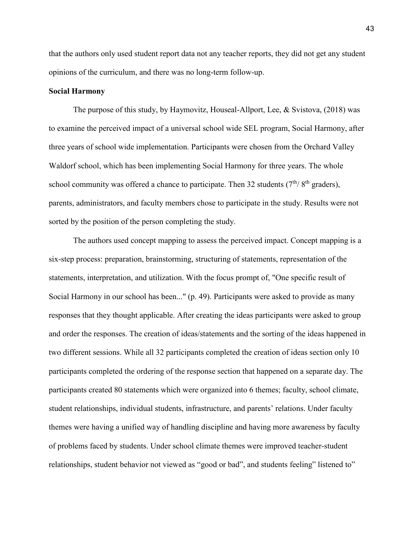that the authors only used student report data not any teacher reports, they did not get any student opinions of the curriculum, and there was no long-term follow-up.

#### **Social Harmony**

The purpose of this study, by Haymovitz, Houseal-Allport, Lee, & Svistova, (2018) was to examine the perceived impact of a universal school wide SEL program, Social Harmony, after three years of school wide implementation. Participants were chosen from the Orchard Valley Waldorf school, which has been implementing Social Harmony for three years. The whole school community was offered a chance to participate. Then 32 students  $(7<sup>th</sup>/ 8<sup>th</sup>$  graders), parents, administrators, and faculty members chose to participate in the study. Results were not sorted by the position of the person completing the study.

 The authors used concept mapping to assess the perceived impact. Concept mapping is a six-step process: preparation, brainstorming, structuring of statements, representation of the statements, interpretation, and utilization. With the focus prompt of, "One specific result of Social Harmony in our school has been..." (p. 49). Participants were asked to provide as many responses that they thought applicable. After creating the ideas participants were asked to group and order the responses. The creation of ideas/statements and the sorting of the ideas happened in two different sessions. While all 32 participants completed the creation of ideas section only 10 participants completed the ordering of the response section that happened on a separate day. The participants created 80 statements which were organized into 6 themes; faculty, school climate, student relationships, individual students, infrastructure, and parents' relations. Under faculty themes were having a unified way of handling discipline and having more awareness by faculty of problems faced by students. Under school climate themes were improved teacher-student relationships, student behavior not viewed as "good or bad", and students feeling" listened to"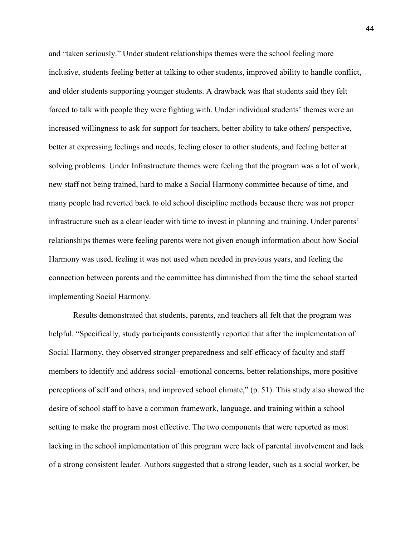and "taken seriously." Under student relationships themes were the school feeling more inclusive, students feeling better at talking to other students, improved ability to handle conflict, and older students supporting younger students. A drawback was that students said they felt forced to talk with people they were fighting with. Under individual students' themes were an increased willingness to ask for support for teachers, better ability to take others' perspective, better at expressing feelings and needs, feeling closer to other students, and feeling better at solving problems. Under Infrastructure themes were feeling that the program was a lot of work, new staff not being trained, hard to make a Social Harmony committee because of time, and many people had reverted back to old school discipline methods because there was not proper infrastructure such as a clear leader with time to invest in planning and training. Under parents' relationships themes were feeling parents were not given enough information about how Social Harmony was used, feeling it was not used when needed in previous years, and feeling the connection between parents and the committee has diminished from the time the school started implementing Social Harmony.

Results demonstrated that students, parents, and teachers all felt that the program was helpful. "Specifically, study participants consistently reported that after the implementation of Social Harmony, they observed stronger preparedness and self-efficacy of faculty and staff members to identify and address social–emotional concerns, better relationships, more positive perceptions of self and others, and improved school climate," (p. 51). This study also showed the desire of school staff to have a common framework, language, and training within a school setting to make the program most effective. The two components that were reported as most lacking in the school implementation of this program were lack of parental involvement and lack of a strong consistent leader. Authors suggested that a strong leader, such as a social worker, be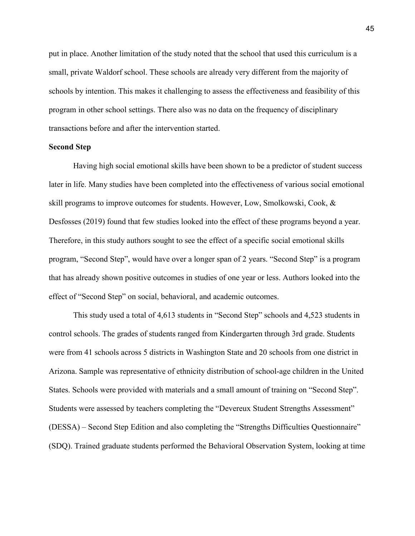put in place. Another limitation of the study noted that the school that used this curriculum is a small, private Waldorf school. These schools are already very different from the majority of schools by intention. This makes it challenging to assess the effectiveness and feasibility of this program in other school settings. There also was no data on the frequency of disciplinary transactions before and after the intervention started.

# **Second Step**

 Having high social emotional skills have been shown to be a predictor of student success later in life. Many studies have been completed into the effectiveness of various social emotional skill programs to improve outcomes for students. However, Low, Smolkowski, Cook, & Desfosses (2019) found that few studies looked into the effect of these programs beyond a year. Therefore, in this study authors sought to see the effect of a specific social emotional skills program, "Second Step", would have over a longer span of 2 years. "Second Step" is a program that has already shown positive outcomes in studies of one year or less. Authors looked into the effect of "Second Step" on social, behavioral, and academic outcomes.

 This study used a total of 4,613 students in "Second Step" schools and 4,523 students in control schools. The grades of students ranged from Kindergarten through 3rd grade. Students were from 41 schools across 5 districts in Washington State and 20 schools from one district in Arizona. Sample was representative of ethnicity distribution of school-age children in the United States. Schools were provided with materials and a small amount of training on "Second Step". Students were assessed by teachers completing the "Devereux Student Strengths Assessment" (DESSA) – Second Step Edition and also completing the "Strengths Difficulties Questionnaire" (SDQ). Trained graduate students performed the Behavioral Observation System, looking at time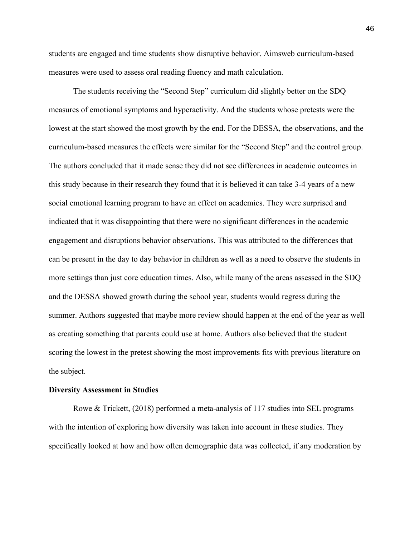students are engaged and time students show disruptive behavior. Aimsweb curriculum-based measures were used to assess oral reading fluency and math calculation.

 The students receiving the "Second Step" curriculum did slightly better on the SDQ measures of emotional symptoms and hyperactivity. And the students whose pretests were the lowest at the start showed the most growth by the end. For the DESSA, the observations, and the curriculum-based measures the effects were similar for the "Second Step" and the control group. The authors concluded that it made sense they did not see differences in academic outcomes in this study because in their research they found that it is believed it can take 3-4 years of a new social emotional learning program to have an effect on academics. They were surprised and indicated that it was disappointing that there were no significant differences in the academic engagement and disruptions behavior observations. This was attributed to the differences that can be present in the day to day behavior in children as well as a need to observe the students in more settings than just core education times. Also, while many of the areas assessed in the SDQ and the DESSA showed growth during the school year, students would regress during the summer. Authors suggested that maybe more review should happen at the end of the year as well as creating something that parents could use at home. Authors also believed that the student scoring the lowest in the pretest showing the most improvements fits with previous literature on the subject.

#### **Diversity Assessment in Studies**

 Rowe & Trickett, (2018) performed a meta-analysis of 117 studies into SEL programs with the intention of exploring how diversity was taken into account in these studies. They specifically looked at how and how often demographic data was collected, if any moderation by

46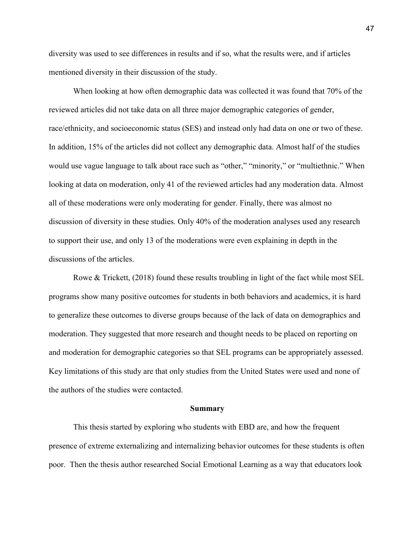diversity was used to see differences in results and if so, what the results were, and if articles mentioned diversity in their discussion of the study.

 When looking at how often demographic data was collected it was found that 70% of the reviewed articles did not take data on all three major demographic categories of gender, race/ethnicity, and socioeconomic status (SES) and instead only had data on one or two of these. In addition, 15% of the articles did not collect any demographic data. Almost half of the studies would use vague language to talk about race such as "other," "minority," or "multiethnic." When looking at data on moderation, only 41 of the reviewed articles had any moderation data. Almost all of these moderations were only moderating for gender. Finally, there was almost no discussion of diversity in these studies. Only 40% of the moderation analyses used any research to support their use, and only 13 of the moderations were even explaining in depth in the discussions of the articles.

 Rowe & Trickett, (2018) found these results troubling in light of the fact while most SEL programs show many positive outcomes for students in both behaviors and academics, it is hard to generalize these outcomes to diverse groups because of the lack of data on demographics and moderation. They suggested that more research and thought needs to be placed on reporting on and moderation for demographic categories so that SEL programs can be appropriately assessed. Key limitations of this study are that only studies from the United States were used and none of the authors of the studies were contacted.

#### **Summary**

This thesis started by exploring who students with EBD are, and how the frequent presence of extreme externalizing and internalizing behavior outcomes for these students is often poor. Then the thesis author researched Social Emotional Learning as a way that educators look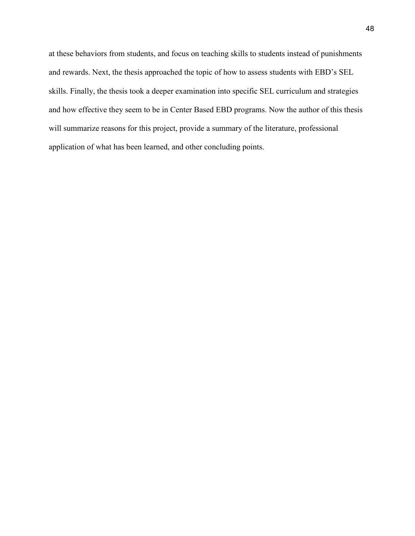at these behaviors from students, and focus on teaching skills to students instead of punishments and rewards. Next, the thesis approached the topic of how to assess students with EBD's SEL skills. Finally, the thesis took a deeper examination into specific SEL curriculum and strategies and how effective they seem to be in Center Based EBD programs. Now the author of this thesis will summarize reasons for this project, provide a summary of the literature, professional application of what has been learned, and other concluding points.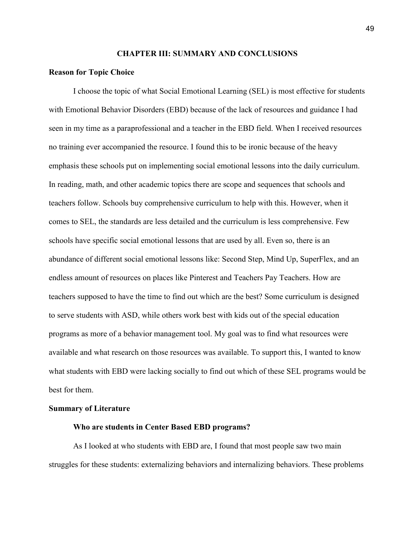### **CHAPTER III: SUMMARY AND CONCLUSIONS**

### **Reason for Topic Choice**

 I choose the topic of what Social Emotional Learning (SEL) is most effective for students with Emotional Behavior Disorders (EBD) because of the lack of resources and guidance I had seen in my time as a paraprofessional and a teacher in the EBD field. When I received resources no training ever accompanied the resource. I found this to be ironic because of the heavy emphasis these schools put on implementing social emotional lessons into the daily curriculum. In reading, math, and other academic topics there are scope and sequences that schools and teachers follow. Schools buy comprehensive curriculum to help with this. However, when it comes to SEL, the standards are less detailed and the curriculum is less comprehensive. Few schools have specific social emotional lessons that are used by all. Even so, there is an abundance of different social emotional lessons like: Second Step, Mind Up, SuperFlex, and an endless amount of resources on places like Pinterest and Teachers Pay Teachers. How are teachers supposed to have the time to find out which are the best? Some curriculum is designed to serve students with ASD, while others work best with kids out of the special education programs as more of a behavior management tool. My goal was to find what resources were available and what research on those resources was available. To support this, I wanted to know what students with EBD were lacking socially to find out which of these SEL programs would be best for them.

#### **Summary of Literature**

#### **Who are students in Center Based EBD programs?**

As I looked at who students with EBD are, I found that most people saw two main struggles for these students: externalizing behaviors and internalizing behaviors. These problems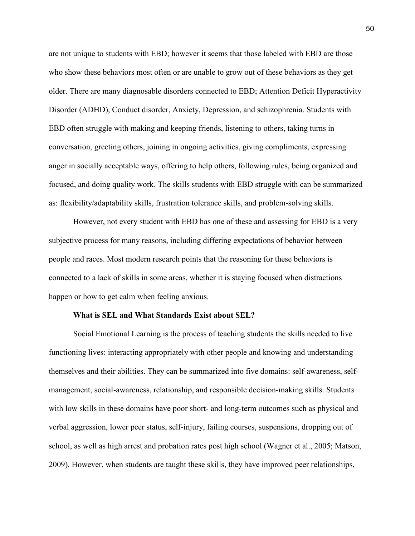are not unique to students with EBD; however it seems that those labeled with EBD are those who show these behaviors most often or are unable to grow out of these behaviors as they get older. There are many diagnosable disorders connected to EBD; Attention Deficit Hyperactivity Disorder (ADHD), Conduct disorder, Anxiety, Depression, and schizophrenia. Students with EBD often struggle with making and keeping friends, listening to others, taking turns in conversation, greeting others, joining in ongoing activities, giving compliments, expressing anger in socially acceptable ways, offering to help others, following rules, being organized and focused, and doing quality work. The skills students with EBD struggle with can be summarized as: flexibility/adaptability skills, frustration tolerance skills, and problem-solving skills.

However, not every student with EBD has one of these and assessing for EBD is a very subjective process for many reasons, including differing expectations of behavior between people and races. Most modern research points that the reasoning for these behaviors is connected to a lack of skills in some areas, whether it is staying focused when distractions happen or how to get calm when feeling anxious.

# **What is SEL and What Standards Exist about SEL?**

Social Emotional Learning is the process of teaching students the skills needed to live functioning lives: interacting appropriately with other people and knowing and understanding themselves and their abilities. They can be summarized into five domains: self-awareness, selfmanagement, social-awareness, relationship, and responsible decision-making skills. Students with low skills in these domains have poor short- and long-term outcomes such as physical and verbal aggression, lower peer status, self-injury, failing courses, suspensions, dropping out of school, as well as high arrest and probation rates post high school (Wagner et al., 2005; Matson, 2009). However, when students are taught these skills, they have improved peer relationships,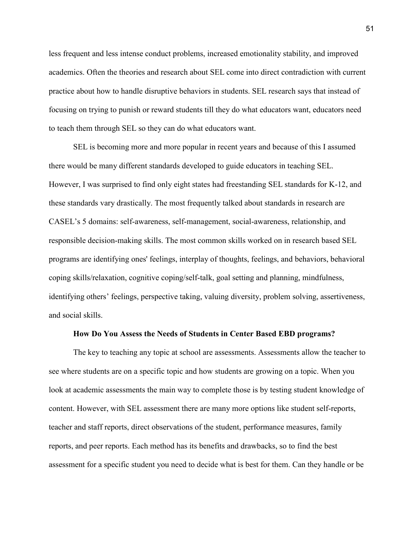less frequent and less intense conduct problems, increased emotionality stability, and improved academics. Often the theories and research about SEL come into direct contradiction with current practice about how to handle disruptive behaviors in students. SEL research says that instead of focusing on trying to punish or reward students till they do what educators want, educators need to teach them through SEL so they can do what educators want.

 SEL is becoming more and more popular in recent years and because of this I assumed there would be many different standards developed to guide educators in teaching SEL. However, I was surprised to find only eight states had freestanding SEL standards for K-12, and these standards vary drastically. The most frequently talked about standards in research are CASEL's 5 domains: self-awareness, self-management, social-awareness, relationship, and responsible decision-making skills. The most common skills worked on in research based SEL programs are identifying ones' feelings, interplay of thoughts, feelings, and behaviors, behavioral coping skills/relaxation, cognitive coping/self-talk, goal setting and planning, mindfulness, identifying others' feelings, perspective taking, valuing diversity, problem solving, assertiveness, and social skills.

#### **How Do You Assess the Needs of Students in Center Based EBD programs?**

The key to teaching any topic at school are assessments. Assessments allow the teacher to see where students are on a specific topic and how students are growing on a topic. When you look at academic assessments the main way to complete those is by testing student knowledge of content. However, with SEL assessment there are many more options like student self-reports, teacher and staff reports, direct observations of the student, performance measures, family reports, and peer reports. Each method has its benefits and drawbacks, so to find the best assessment for a specific student you need to decide what is best for them. Can they handle or be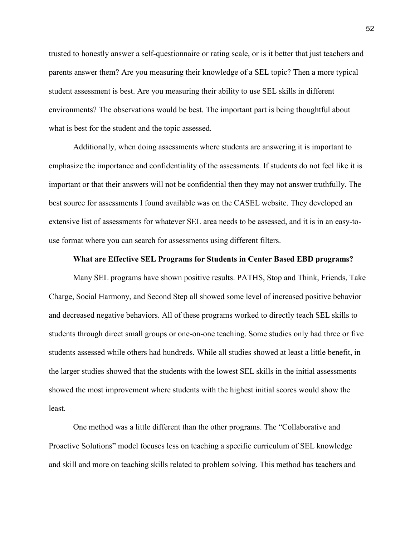trusted to honestly answer a self-questionnaire or rating scale, or is it better that just teachers and parents answer them? Are you measuring their knowledge of a SEL topic? Then a more typical student assessment is best. Are you measuring their ability to use SEL skills in different environments? The observations would be best. The important part is being thoughtful about what is best for the student and the topic assessed.

Additionally, when doing assessments where students are answering it is important to emphasize the importance and confidentiality of the assessments. If students do not feel like it is important or that their answers will not be confidential then they may not answer truthfully. The best source for assessments I found available was on the CASEL website. They developed an extensive list of assessments for whatever SEL area needs to be assessed, and it is in an easy-touse format where you can search for assessments using different filters.

#### **What are Effective SEL Programs for Students in Center Based EBD programs?**

Many SEL programs have shown positive results. PATHS, Stop and Think, Friends, Take Charge, Social Harmony, and Second Step all showed some level of increased positive behavior and decreased negative behaviors. All of these programs worked to directly teach SEL skills to students through direct small groups or one-on-one teaching. Some studies only had three or five students assessed while others had hundreds. While all studies showed at least a little benefit, in the larger studies showed that the students with the lowest SEL skills in the initial assessments showed the most improvement where students with the highest initial scores would show the least.

One method was a little different than the other programs. The "Collaborative and Proactive Solutions" model focuses less on teaching a specific curriculum of SEL knowledge and skill and more on teaching skills related to problem solving. This method has teachers and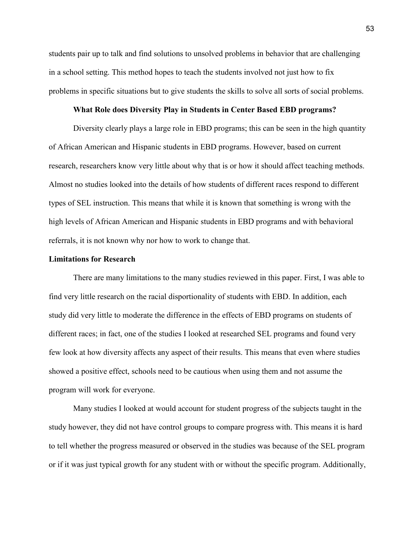students pair up to talk and find solutions to unsolved problems in behavior that are challenging in a school setting. This method hopes to teach the students involved not just how to fix problems in specific situations but to give students the skills to solve all sorts of social problems.

# **What Role does Diversity Play in Students in Center Based EBD programs?**

Diversity clearly plays a large role in EBD programs; this can be seen in the high quantity of African American and Hispanic students in EBD programs. However, based on current research, researchers know very little about why that is or how it should affect teaching methods. Almost no studies looked into the details of how students of different races respond to different types of SEL instruction. This means that while it is known that something is wrong with the high levels of African American and Hispanic students in EBD programs and with behavioral referrals, it is not known why nor how to work to change that.

# **Limitations for Research**

There are many limitations to the many studies reviewed in this paper. First, I was able to find very little research on the racial disportionality of students with EBD. In addition, each study did very little to moderate the difference in the effects of EBD programs on students of different races; in fact, one of the studies I looked at researched SEL programs and found very few look at how diversity affects any aspect of their results. This means that even where studies showed a positive effect, schools need to be cautious when using them and not assume the program will work for everyone.

 Many studies I looked at would account for student progress of the subjects taught in the study however, they did not have control groups to compare progress with. This means it is hard to tell whether the progress measured or observed in the studies was because of the SEL program or if it was just typical growth for any student with or without the specific program. Additionally,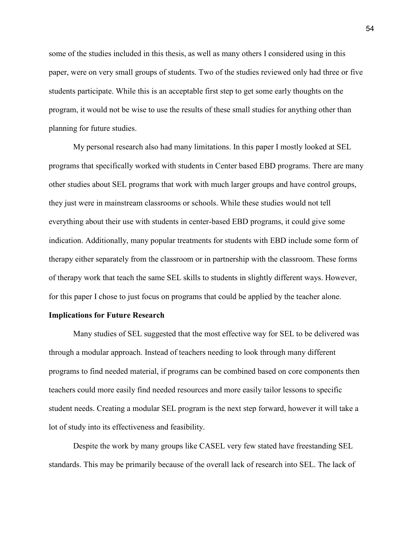some of the studies included in this thesis, as well as many others I considered using in this paper, were on very small groups of students. Two of the studies reviewed only had three or five students participate. While this is an acceptable first step to get some early thoughts on the program, it would not be wise to use the results of these small studies for anything other than planning for future studies.

 My personal research also had many limitations. In this paper I mostly looked at SEL programs that specifically worked with students in Center based EBD programs. There are many other studies about SEL programs that work with much larger groups and have control groups, they just were in mainstream classrooms or schools. While these studies would not tell everything about their use with students in center-based EBD programs, it could give some indication. Additionally, many popular treatments for students with EBD include some form of therapy either separately from the classroom or in partnership with the classroom. These forms of therapy work that teach the same SEL skills to students in slightly different ways. However, for this paper I chose to just focus on programs that could be applied by the teacher alone.

# **Implications for Future Research**

Many studies of SEL suggested that the most effective way for SEL to be delivered was through a modular approach. Instead of teachers needing to look through many different programs to find needed material, if programs can be combined based on core components then teachers could more easily find needed resources and more easily tailor lessons to specific student needs. Creating a modular SEL program is the next step forward, however it will take a lot of study into its effectiveness and feasibility.

Despite the work by many groups like CASEL very few stated have freestanding SEL standards. This may be primarily because of the overall lack of research into SEL. The lack of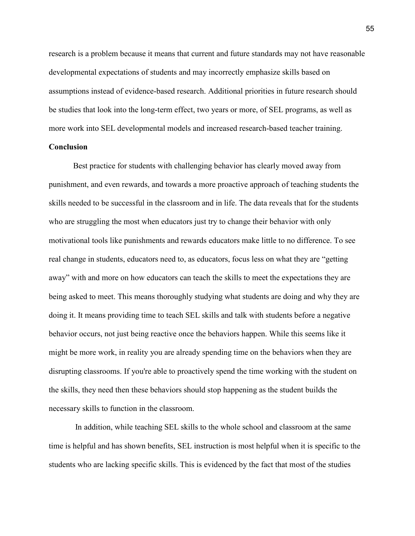research is a problem because it means that current and future standards may not have reasonable developmental expectations of students and may incorrectly emphasize skills based on assumptions instead of evidence-based research. Additional priorities in future research should be studies that look into the long-term effect, two years or more, of SEL programs, as well as more work into SEL developmental models and increased research-based teacher training.

# **Conclusion**

Best practice for students with challenging behavior has clearly moved away from punishment, and even rewards, and towards a more proactive approach of teaching students the skills needed to be successful in the classroom and in life. The data reveals that for the students who are struggling the most when educators just try to change their behavior with only motivational tools like punishments and rewards educators make little to no difference. To see real change in students, educators need to, as educators, focus less on what they are "getting away" with and more on how educators can teach the skills to meet the expectations they are being asked to meet. This means thoroughly studying what students are doing and why they are doing it. It means providing time to teach SEL skills and talk with students before a negative behavior occurs, not just being reactive once the behaviors happen. While this seems like it might be more work, in reality you are already spending time on the behaviors when they are disrupting classrooms. If you're able to proactively spend the time working with the student on the skills, they need then these behaviors should stop happening as the student builds the necessary skills to function in the classroom.

 In addition, while teaching SEL skills to the whole school and classroom at the same time is helpful and has shown benefits, SEL instruction is most helpful when it is specific to the students who are lacking specific skills. This is evidenced by the fact that most of the studies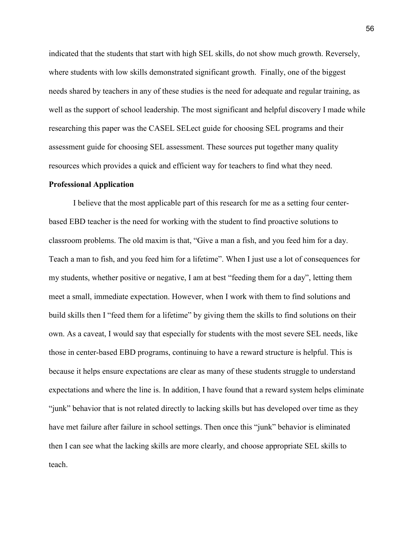indicated that the students that start with high SEL skills, do not show much growth. Reversely, where students with low skills demonstrated significant growth. Finally, one of the biggest needs shared by teachers in any of these studies is the need for adequate and regular training, as well as the support of school leadership. The most significant and helpful discovery I made while researching this paper was the CASEL SELect guide for choosing SEL programs and their assessment guide for choosing SEL assessment. These sources put together many quality resources which provides a quick and efficient way for teachers to find what they need.

#### **Professional Application**

I believe that the most applicable part of this research for me as a setting four centerbased EBD teacher is the need for working with the student to find proactive solutions to classroom problems. The old maxim is that, "Give a man a fish, and you feed him for a day. Teach a man to fish, and you feed him for a lifetime". When I just use a lot of consequences for my students, whether positive or negative, I am at best "feeding them for a day", letting them meet a small, immediate expectation. However, when I work with them to find solutions and build skills then I "feed them for a lifetime" by giving them the skills to find solutions on their own. As a caveat, I would say that especially for students with the most severe SEL needs, like those in center-based EBD programs, continuing to have a reward structure is helpful. This is because it helps ensure expectations are clear as many of these students struggle to understand expectations and where the line is. In addition, I have found that a reward system helps eliminate "junk" behavior that is not related directly to lacking skills but has developed over time as they have met failure after failure in school settings. Then once this "junk" behavior is eliminated then I can see what the lacking skills are more clearly, and choose appropriate SEL skills to teach.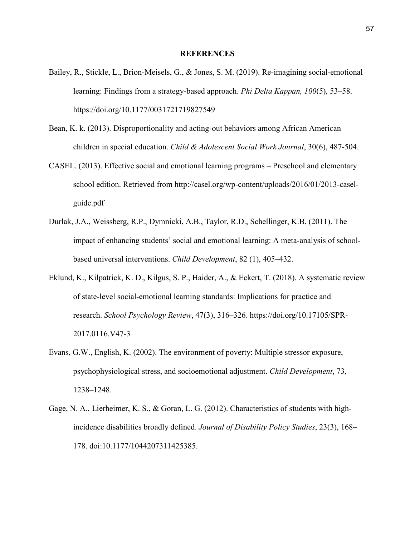### **REFERENCES**

- Bailey, R., Stickle, L., Brion-Meisels, G., & Jones, S. M. (2019). Re-imagining social-emotional learning: Findings from a strategy-based approach. *Phi Delta Kappan, 100*(5), 53–58. https://doi.org/10.1177/0031721719827549
- Bean, K. k. (2013). Disproportionality and acting-out behaviors among African American children in special education. *Child & Adolescent Social Work Journal*, 30(6), 487-504.
- CASEL. (2013). Effective social and emotional learning programs Preschool and elementary school edition. Retrieved from http://casel.org/wp-content/uploads/2016/01/2013-caselguide.pdf
- Durlak, J.A., Weissberg, R.P., Dymnicki, A.B., Taylor, R.D., Schellinger, K.B. (2011). The impact of enhancing students' social and emotional learning: A meta-analysis of schoolbased universal interventions. *Child Development*, 82 (1), 405–432.
- Eklund, K., Kilpatrick, K. D., Kilgus, S. P., Haider, A., & Eckert, T. (2018). A systematic review of state-level social-emotional learning standards: Implications for practice and research. *School Psychology Review*, 47(3), 316–326. https://doi.org/10.17105/SPR-2017.0116.V47-3
- Evans, G.W., English, K. (2002). The environment of poverty: Multiple stressor exposure, psychophysiological stress, and socioemotional adjustment. *Child Development*, 73, 1238–1248.
- Gage, N. A., Lierheimer, K. S., & Goran, L. G. (2012). Characteristics of students with highincidence disabilities broadly defined. *Journal of Disability Policy Studies*, 23(3), 168– 178. doi:10.1177/1044207311425385.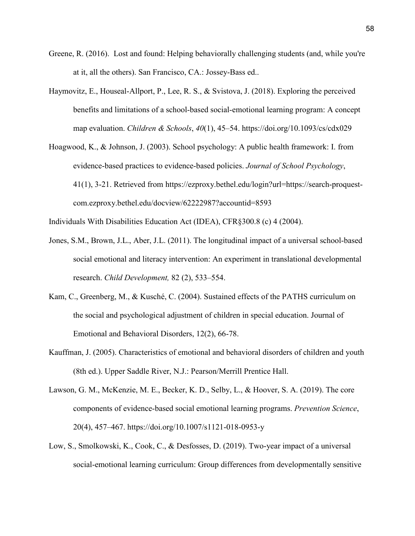- Greene, R. (2016). Lost and found: Helping behaviorally challenging students (and, while you're at it, all the others). San Francisco, CA.: Jossey-Bass ed..
- Haymovitz, E., Houseal-Allport, P., Lee, R. S., & Svistova, J. (2018). Exploring the perceived benefits and limitations of a school-based social-emotional learning program: A concept map evaluation. *Children & Schools*, *40*(1), 45–54. https://doi.org/10.1093/cs/cdx029
- Hoagwood, K., & Johnson, J. (2003). School psychology: A public health framework: I. from evidence-based practices to evidence-based policies. *Journal of School Psychology*, 41(1), 3-21. Retrieved from https://ezproxy.bethel.edu/login?url=https://search-proquestcom.ezproxy.bethel.edu/docview/62222987?accountid=8593

Individuals With Disabilities Education Act (IDEA), CFR§300.8 (c) 4 (2004).

- Jones, S.M., Brown, J.L., Aber, J.L. (2011). The longitudinal impact of a universal school-based social emotional and literacy intervention: An experiment in translational developmental research. *Child Development,* 82 (2), 533–554.
- Kam, C., Greenberg, M., & Kusché, C. (2004). Sustained effects of the PATHS curriculum on the social and psychological adjustment of children in special education. Journal of Emotional and Behavioral Disorders, 12(2), 66-78.
- Kauffman, J. (2005). Characteristics of emotional and behavioral disorders of children and youth (8th ed.). Upper Saddle River, N.J.: Pearson/Merrill Prentice Hall.
- Lawson, G. M., McKenzie, M. E., Becker, K. D., Selby, L., & Hoover, S. A. (2019). The core components of evidence-based social emotional learning programs. *Prevention Science*, 20(4), 457–467. https://doi.org/10.1007/s1121-018-0953-y
- Low, S., Smolkowski, K., Cook, C., & Desfosses, D. (2019). Two-year impact of a universal social-emotional learning curriculum: Group differences from developmentally sensitive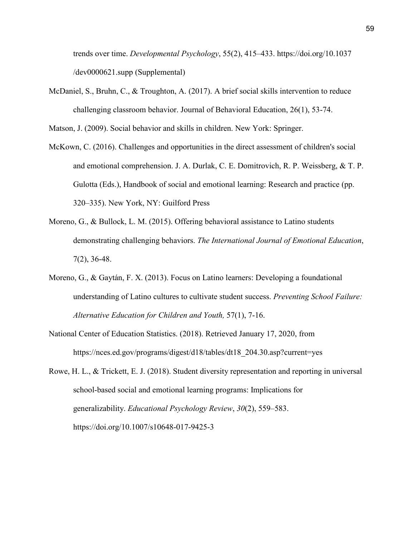trends over time. *Developmental Psychology*, 55(2), 415–433. https://doi.org/10.1037 /dev0000621.supp (Supplemental)

McDaniel, S., Bruhn, C., & Troughton, A. (2017). A brief social skills intervention to reduce challenging classroom behavior. Journal of Behavioral Education, 26(1), 53-74.

Matson, J. (2009). Social behavior and skills in children. New York: Springer.

- McKown, C. (2016). Challenges and opportunities in the direct assessment of children's social and emotional comprehension. J. A. Durlak, C. E. Domitrovich, R. P. Weissberg, & T. P. Gulotta (Eds.), Handbook of social and emotional learning: Research and practice (pp. 320–335). New York, NY: Guilford Press
- Moreno, G., & Bullock, L. M. (2015). Offering behavioral assistance to Latino students demonstrating challenging behaviors. *The International Journal of Emotional Education*, 7(2), 36-48.
- Moreno, G., & Gaytán, F. X. (2013). Focus on Latino learners: Developing a foundational understanding of Latino cultures to cultivate student success. *Preventing School Failure: Alternative Education for Children and Youth,* 57(1), 7-16.
- National Center of Education Statistics. (2018). Retrieved January 17, 2020, from https://nces.ed.gov/programs/digest/d18/tables/dt18\_204.30.asp?current=yes
- Rowe, H. L., & Trickett, E. J. (2018). Student diversity representation and reporting in universal school-based social and emotional learning programs: Implications for generalizability. *Educational Psychology Review*, *30*(2), 559–583. https://doi.org/10.1007/s10648-017-9425-3